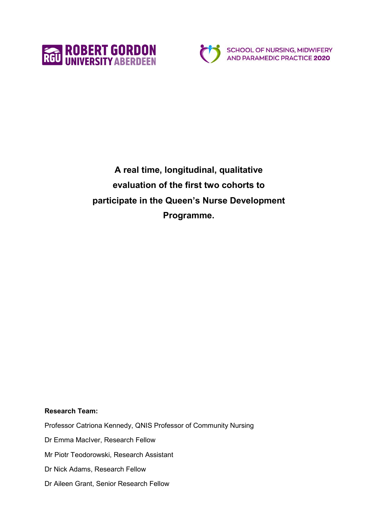



**A real time, longitudinal, qualitative evaluation of the first two cohorts to participate in the Queen's Nurse Development Programme.**

**Research Team:**

Professor Catriona Kennedy, QNIS Professor of Community Nursing

Dr Emma MacIver, Research Fellow

Mr Piotr Teodorowski, Research Assistant

Dr Nick Adams, Research Fellow

Dr Aileen Grant, Senior Research Fellow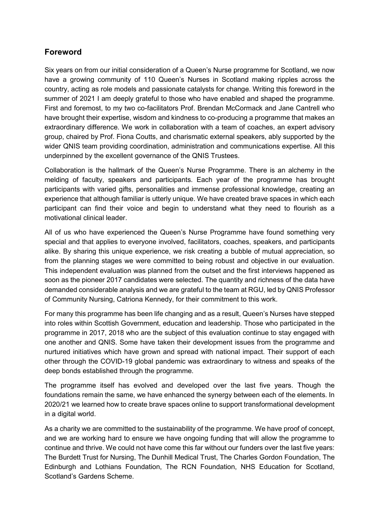# <span id="page-1-0"></span>**Foreword**

Six years on from our initial consideration of a Queen's Nurse programme for Scotland, we now have a growing community of 110 Queen's Nurses in Scotland making ripples across the country, acting as role models and passionate catalysts for change. Writing this foreword in the summer of 2021 I am deeply grateful to those who have enabled and shaped the programme. First and foremost, to my two co-facilitators Prof. Brendan McCormack and Jane Cantrell who have brought their expertise, wisdom and kindness to co-producing a programme that makes an extraordinary difference. We work in collaboration with a team of coaches, an expert advisory group, chaired by Prof. Fiona Coutts, and charismatic external speakers, ably supported by the wider QNIS team providing coordination, administration and communications expertise. All this underpinned by the excellent governance of the QNIS Trustees.

Collaboration is the hallmark of the Queen's Nurse Programme. There is an alchemy in the melding of faculty, speakers and participants. Each year of the programme has brought participants with varied gifts, personalities and immense professional knowledge, creating an experience that although familiar is utterly unique. We have created brave spaces in which each participant can find their voice and begin to understand what they need to flourish as a motivational clinical leader.

All of us who have experienced the Queen's Nurse Programme have found something very special and that applies to everyone involved, facilitators, coaches, speakers, and participants alike. By sharing this unique experience, we risk creating a bubble of mutual appreciation, so from the planning stages we were committed to being robust and objective in our evaluation. This independent evaluation was planned from the outset and the first interviews happened as soon as the pioneer 2017 candidates were selected. The quantity and richness of the data have demanded considerable analysis and we are grateful to the team at RGU, led by QNIS Professor of Community Nursing, Catriona Kennedy, for their commitment to this work.

For many this programme has been life changing and as a result, Queen's Nurses have stepped into roles within Scottish Government, education and leadership. Those who participated in the programme in 2017, 2018 who are the subject of this evaluation continue to stay engaged with one another and QNIS. Some have taken their development issues from the programme and nurtured initiatives which have grown and spread with national impact. Their support of each other through the COVID-19 global pandemic was extraordinary to witness and speaks of the deep bonds established through the programme.

The programme itself has evolved and developed over the last five years. Though the foundations remain the same, we have enhanced the synergy between each of the elements. In 2020/21 we learned how to create brave spaces online to support transformational development in a digital world.

As a charity we are committed to the sustainability of the programme. We have proof of concept, and we are working hard to ensure we have ongoing funding that will allow the programme to continue and thrive. We could not have come this far without our funders over the last five years: The Burdett Trust for Nursing, The Dunhill Medical Trust, The Charles Gordon Foundation, The Edinburgh and Lothians Foundation, The RCN Foundation, NHS Education for Scotland, Scotland's Gardens Scheme.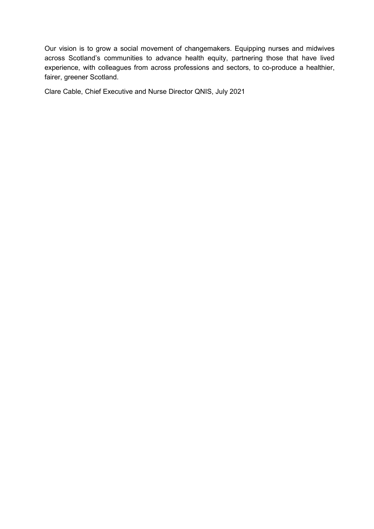Our vision is to grow a social movement of changemakers. Equipping nurses and midwives across Scotland's communities to advance health equity, partnering those that have lived experience, with colleagues from across professions and sectors, to co-produce a healthier, fairer, greener Scotland.

Clare Cable, Chief Executive and Nurse Director QNIS, July 2021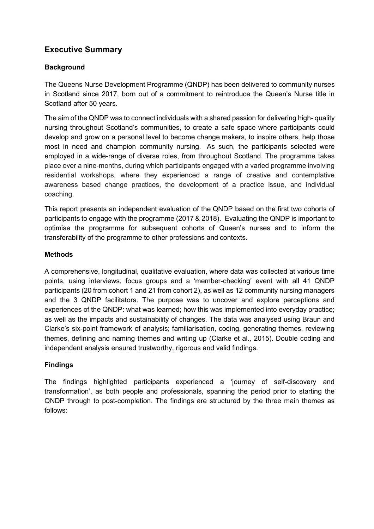# <span id="page-3-0"></span>**Executive Summary**

## <span id="page-3-1"></span>**Background**

The Queens Nurse Development Programme (QNDP) has been delivered to community nurses in Scotland since 2017, born out of a commitment to reintroduce the Queen's Nurse title in Scotland after 50 years.

The aim of the QNDP was to connect individuals with a shared passion for delivering high- quality nursing throughout Scotland's communities, to create a safe space where participants could develop and grow on a personal level to become change makers, to inspire others, help those most in need and champion community nursing. As such, the participants selected were employed in a wide-range of diverse roles, from throughout Scotland. The programme takes place over a nine-months, during which participants engaged with a varied programme involving residential workshops, where they experienced a range of creative and contemplative awareness based change practices, the development of a practice issue, and individual coaching.

This report presents an independent evaluation of the QNDP based on the first two cohorts of participants to engage with the programme (2017 & 2018). Evaluating the QNDP is important to optimise the programme for subsequent cohorts of Queen's nurses and to inform the transferability of the programme to other professions and contexts.

### <span id="page-3-2"></span>**Methods**

A comprehensive, longitudinal, qualitative evaluation, where data was collected at various time points, using interviews, focus groups and a 'member-checking' event with all 41 QNDP participants (20 from cohort 1 and 21 from cohort 2), as well as 12 community nursing managers and the 3 QNDP facilitators. The purpose was to uncover and explore perceptions and experiences of the QNDP: what was learned; how this was implemented into everyday practice; as well as the impacts and sustainability of changes. The data was analysed using Braun and Clarke's six-point framework of analysis; familiarisation, coding, generating themes, reviewing themes, defining and naming themes and writing up (Clarke et al., 2015). Double coding and independent analysis ensured trustworthy, rigorous and valid findings.

### <span id="page-3-3"></span>**Findings**

The findings highlighted participants experienced a 'journey of self-discovery and transformation', as both people and professionals, spanning the period prior to starting the QNDP through to post-completion. The findings are structured by the three main themes as follows: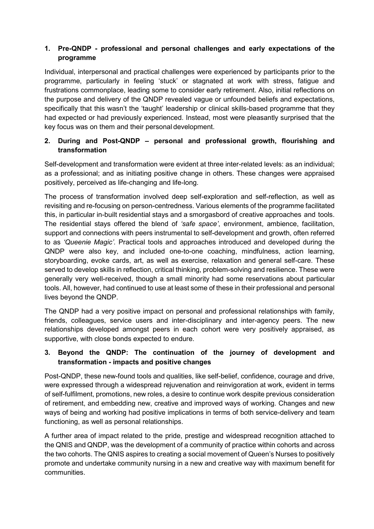## **1. Pre-QNDP - professional and personal challenges and early expectations of the programme**

Individual, interpersonal and practical challenges were experienced by participants prior to the programme, particularly in feeling 'stuck' or stagnated at work with stress, fatigue and frustrations commonplace, leading some to consider early retirement. Also, initial reflections on the purpose and delivery of the QNDP revealed vague or unfounded beliefs and expectations, specifically that this wasn't the 'taught' leadership or clinical skills-based programme that they had expected or had previously experienced. Instead, most were pleasantly surprised that the key focus was on them and their personal development.

## **2. During and Post-QNDP – personal and professional growth, flourishing and transformation**

Self-development and transformation were evident at three inter-related levels: as an individual; as a professional; and as initiating positive change in others. These changes were appraised positively, perceived as life-changing and life-long.

The process of transformation involved deep self-exploration and self-reflection, as well as revisiting and re-focusing on person-centredness. Various elements of the programme facilitated this, in particular in-built residential stays and a smorgasbord of creative approaches and tools. The residential stays offered the blend of *'safe space'*, environment, ambience, facilitation, support and connections with peers instrumental to self-development and growth, often referred to as *'Queenie Magic'*. Practical tools and approaches introduced and developed during the QNDP were also key, and included one-to-one coaching, mindfulness, action learning, storyboarding, evoke cards, art, as well as exercise, relaxation and general self-care. These served to develop skills in reflection, critical thinking, problem-solving and resilience. These were generally very well-received, though a small minority had some reservations about particular tools. All, however, had continued to use at least some of these in their professional and personal lives beyond the QNDP.

The QNDP had a very positive impact on personal and professional relationships with family, friends, colleagues, service users and inter-disciplinary and inter-agency peers. The new relationships developed amongst peers in each cohort were very positively appraised, as supportive, with close bonds expected to endure.

## **3. Beyond the QNDP: The continuation of the journey of development and transformation - impacts and positive changes**

Post-QNDP, these new-found tools and qualities, like self-belief, confidence, courage and drive, were expressed through a widespread rejuvenation and reinvigoration at work, evident in terms of self-fulfilment, promotions, new roles, a desire to continue work despite previous consideration of retirement, and embedding new, creative and improved ways of working. Changes and new ways of being and working had positive implications in terms of both service-delivery and team functioning, as well as personal relationships.

A further area of impact related to the pride, prestige and widespread recognition attached to the QNIS and QNDP, was the development of a community of practice within cohorts and across the two cohorts. The QNIS aspires to creating a social movement of Queen's Nurses to positively promote and undertake community nursing in a new and creative way with maximum benefit for communities.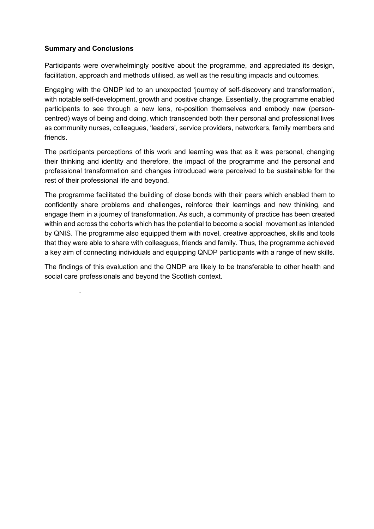#### <span id="page-5-0"></span>**Summary and Conclusions**

.

Participants were overwhelmingly positive about the programme, and appreciated its design, facilitation, approach and methods utilised, as well as the resulting impacts and outcomes.

Engaging with the QNDP led to an unexpected 'journey of self-discovery and transformation', with notable self-development, growth and positive change. Essentially, the programme enabled participants to see through a new lens, re-position themselves and embody new (personcentred) ways of being and doing, which transcended both their personal and professional lives as community nurses, colleagues, 'leaders', service providers, networkers, family members and friends.

The participants perceptions of this work and learning was that as it was personal, changing their thinking and identity and therefore, the impact of the programme and the personal and professional transformation and changes introduced were perceived to be sustainable for the rest of their professional life and beyond.

The programme facilitated the building of close bonds with their peers which enabled them to confidently share problems and challenges, reinforce their learnings and new thinking, and engage them in a journey of transformation. As such, a community of practice has been created within and across the cohorts which has the potential to become a social movement as intended by QNIS. The programme also equipped them with novel, creative approaches, skills and tools that they were able to share with colleagues, friends and family. Thus, the programme achieved a key aim of connecting individuals and equipping QNDP participants with a range of new skills.

The findings of this evaluation and the QNDP are likely to be transferable to other health and social care professionals and beyond the Scottish context.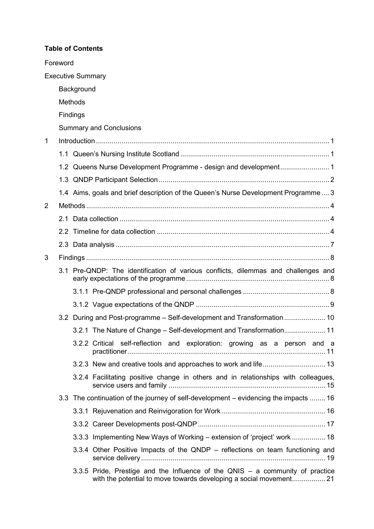#### **Table of Contents**

|                | Foreword |                          |                                                                                                                                                       |  |  |  |  |
|----------------|----------|--------------------------|-------------------------------------------------------------------------------------------------------------------------------------------------------|--|--|--|--|
|                |          | <b>Executive Summary</b> |                                                                                                                                                       |  |  |  |  |
|                |          | Background               |                                                                                                                                                       |  |  |  |  |
|                |          | <b>Methods</b>           |                                                                                                                                                       |  |  |  |  |
|                | Findings |                          |                                                                                                                                                       |  |  |  |  |
|                |          |                          | <b>Summary and Conclusions</b>                                                                                                                        |  |  |  |  |
| 1              |          |                          |                                                                                                                                                       |  |  |  |  |
|                |          |                          |                                                                                                                                                       |  |  |  |  |
|                |          |                          |                                                                                                                                                       |  |  |  |  |
|                |          |                          |                                                                                                                                                       |  |  |  |  |
|                |          |                          | 1.4 Aims, goals and brief description of the Queen's Nurse Development Programme 3                                                                    |  |  |  |  |
| $\overline{2}$ |          |                          |                                                                                                                                                       |  |  |  |  |
|                |          |                          |                                                                                                                                                       |  |  |  |  |
|                |          |                          |                                                                                                                                                       |  |  |  |  |
|                |          |                          |                                                                                                                                                       |  |  |  |  |
| 3              |          |                          |                                                                                                                                                       |  |  |  |  |
|                |          |                          | 3.1 Pre-QNDP: The identification of various conflicts, dilemmas and challenges and                                                                    |  |  |  |  |
|                |          |                          |                                                                                                                                                       |  |  |  |  |
|                |          |                          |                                                                                                                                                       |  |  |  |  |
|                |          |                          | 3.2 During and Post-programme - Self-development and Transformation 10                                                                                |  |  |  |  |
|                |          |                          | 3.2.1 The Nature of Change – Self-development and Transformation 11                                                                                   |  |  |  |  |
|                |          |                          | 3.2.2 Critical self-reflection and exploration: growing as a person and a                                                                             |  |  |  |  |
|                |          |                          |                                                                                                                                                       |  |  |  |  |
|                |          |                          | 3.2.4 Facilitating positive change in others and in relationships with colleagues,                                                                    |  |  |  |  |
|                |          |                          | 3.3 The continuation of the journey of self-development - evidencing the impacts  16                                                                  |  |  |  |  |
|                |          |                          |                                                                                                                                                       |  |  |  |  |
|                |          |                          |                                                                                                                                                       |  |  |  |  |
|                |          |                          | 3.3.3 Implementing New Ways of Working – extension of 'project' work  18                                                                              |  |  |  |  |
|                |          |                          | 3.3.4 Other Positive Impacts of the QNDP – reflections on team functioning and                                                                        |  |  |  |  |
|                |          |                          | 3.3.5 Pride, Prestige and the Influence of the QNIS $-$ a community of practice<br>with the potential to move towards developing a social movement 21 |  |  |  |  |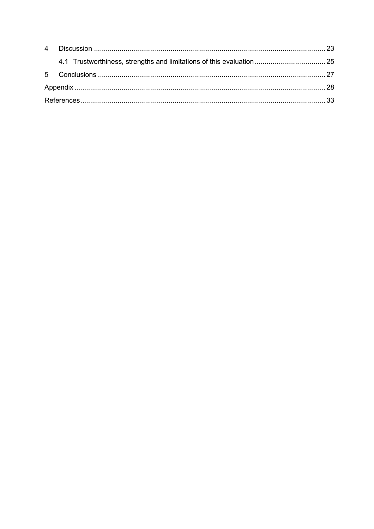|  | 4.1 Trustworthiness, strengths and limitations of this evaluation  25 |  |  |  |  |
|--|-----------------------------------------------------------------------|--|--|--|--|
|  |                                                                       |  |  |  |  |
|  |                                                                       |  |  |  |  |
|  |                                                                       |  |  |  |  |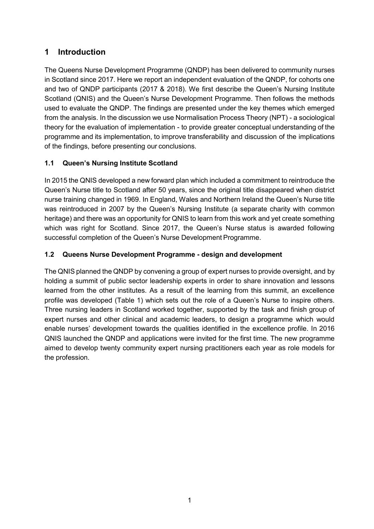# <span id="page-8-0"></span>**1 Introduction**

The Queens Nurse Development Programme (QNDP) has been delivered to community nurses in Scotland since 2017. Here we report an independent evaluation of the QNDP, for cohorts one and two of QNDP participants (2017 & 2018). We first describe the Queen's Nursing Institute Scotland (QNIS) and the Queen's Nurse Development Programme. Then follows the methods used to evaluate the QNDP. The findings are presented under the key themes which emerged from the analysis. In the discussion we use Normalisation Process Theory (NPT) - a sociological theory for the evaluation of implementation - to provide greater conceptual understanding of the programme and its implementation, to improve transferability and discussion of the implications of the findings, before presenting our conclusions.

# <span id="page-8-1"></span>**1.1 Queen's Nursing Institute Scotland**

In 2015 the QNIS developed a new forward plan which included a commitment to reintroduce the Queen's Nurse title to Scotland after 50 years, since the original title disappeared when district nurse training changed in 1969. In England, Wales and Northern Ireland the Queen's Nurse title was reintroduced in 2007 by the Queen's Nursing Institute (a separate charity with common heritage) and there was an opportunity for QNIS to learn from this work and yet create something which was right for Scotland. Since 2017, the Queen's Nurse status is awarded following successful completion of the Queen's Nurse Development Programme.

# <span id="page-8-2"></span>**1.2 Queens Nurse Development Programme - design and development**

The QNIS planned the QNDP by convening a group of expert nurses to provide oversight, and by holding a summit of public sector leadership experts in order to share innovation and lessons learned from the other institutes. As a result of the learning from this summit, an excellence profile was developed (Table 1) which sets out the role of a Queen's Nurse to inspire others. Three nursing leaders in Scotland worked together, supported by the task and finish group of expert nurses and other clinical and academic leaders, to design a programme which would enable nurses' development towards the qualities identified in the excellence profile. In 2016 QNIS launched the QNDP and applications were invited for the first time. The new programme aimed to develop twenty community expert nursing practitioners each year as role models for the profession.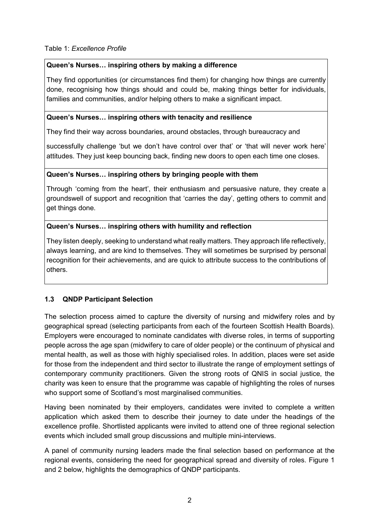### Table 1: *Excellence Profile*

## **Queen's Nurses… inspiring others by making a difference**

They find opportunities (or circumstances find them) for changing how things are currently done, recognising how things should and could be, making things better for individuals, families and communities, and/or helping others to make a significant impact.

### **Queen's Nurses… inspiring others with tenacity and resilience**

They find their way across boundaries, around obstacles, through bureaucracy and

successfully challenge 'but we don't have control over that' or 'that will never work here' attitudes. They just keep bouncing back, finding new doors to open each time one closes.

## **Queen's Nurses… inspiring others by bringing people with them**

Through 'coming from the heart', their enthusiasm and persuasive nature, they create a groundswell of support and recognition that 'carries the day', getting others to commit and get things done.

## **Queen's Nurses… inspiring others with humility and reflection**

They listen deeply, seeking to understand what really matters. They approach life reflectively, always learning, and are kind to themselves. They will sometimes be surprised by personal recognition for their achievements, and are quick to attribute success to the contributions of others.

## <span id="page-9-0"></span>**1.3 QNDP Participant Selection**

The selection process aimed to capture the diversity of nursing and midwifery roles and by geographical spread (selecting participants from each of the fourteen Scottish Health Boards). Employers were encouraged to nominate candidates with diverse roles, in terms of supporting people across the age span (midwifery to care of older people) or the continuum of physical and mental health, as well as those with highly specialised roles. In addition, places were set aside for those from the independent and third sector to illustrate the range of employment settings of contemporary community practitioners. Given the strong roots of QNIS in social justice, the charity was keen to ensure that the programme was capable of highlighting the roles of nurses who support some of Scotland's most marginalised communities.

Having been nominated by their employers, candidates were invited to complete a written application which asked them to describe their journey to date under the headings of the excellence profile. Shortlisted applicants were invited to attend one of three regional selection events which included small group discussions and multiple mini-interviews.

A panel of community nursing leaders made the final selection based on performance at the regional events, considering the need for geographical spread and diversity of roles. Figure 1 and 2 below, highlights the demographics of QNDP participants.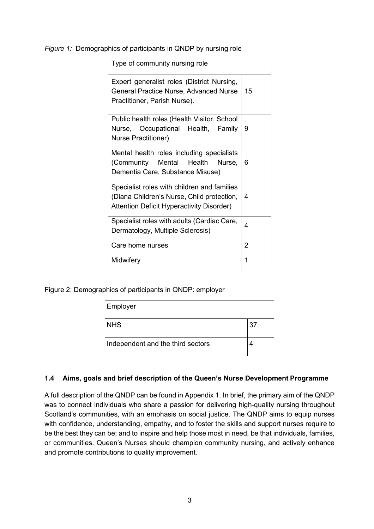#### *Figure 1:* Demographics of participants in QNDP by nursing role

| Type of community nursing role                                                                                                                |                |  |  |  |
|-----------------------------------------------------------------------------------------------------------------------------------------------|----------------|--|--|--|
| Expert generalist roles (District Nursing,<br><b>General Practice Nurse, Advanced Nurse</b><br>Practitioner, Parish Nurse).                   | 15             |  |  |  |
| Public health roles (Health Visitor, School<br>Nurse, Occupational Health, Family<br>Nurse Practitioner).                                     | 9              |  |  |  |
| Mental health roles including specialists<br>(Community Mental Health<br>Nurse,<br>Dementia Care, Substance Misuse)                           | 6              |  |  |  |
| Specialist roles with children and families<br>(Diana Children's Nurse, Child protection,<br><b>Attention Deficit Hyperactivity Disorder)</b> | 4              |  |  |  |
| Specialist roles with adults (Cardiac Care,<br>Dermatology, Multiple Sclerosis)                                                               | 4              |  |  |  |
| Care home nurses                                                                                                                              | $\overline{2}$ |  |  |  |
| Midwifery                                                                                                                                     | 1              |  |  |  |

Figure 2: Demographics of participants in QNDP: employer

| Employer                          |    |  |  |  |
|-----------------------------------|----|--|--|--|
| <b>NHS</b>                        | 37 |  |  |  |
| Independent and the third sectors | 4  |  |  |  |

#### <span id="page-10-0"></span>**1.4 Aims, goals and brief description of the Queen's Nurse Development Programme**

A full description of the QNDP can be found in Appendix 1. In brief, the primary aim of the QNDP was to connect individuals who share a passion for delivering high-quality nursing throughout Scotland's communities, with an emphasis on social justice. The QNDP aims to equip nurses with confidence, understanding, empathy, and to foster the skills and support nurses require to be the best they can be; and to inspire and help those most in need, be that individuals, families, or communities. Queen's Nurses should champion community nursing, and actively enhance and promote contributions to quality improvement.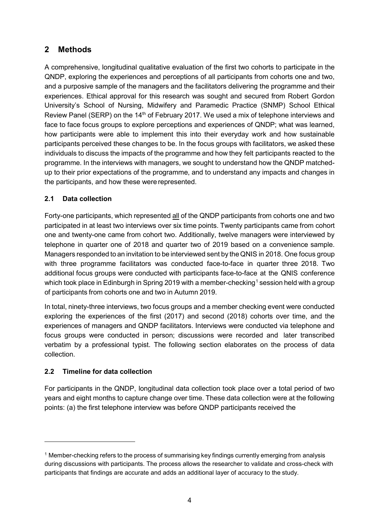# <span id="page-11-0"></span>**2 Methods**

A comprehensive, longitudinal qualitative evaluation of the first two cohorts to participate in the QNDP, exploring the experiences and perceptions of all participants from cohorts one and two, and a purposive sample of the managers and the facilitators delivering the programme and their experiences. Ethical approval for this research was sought and secured from Robert Gordon University's School of Nursing, Midwifery and Paramedic Practice (SNMP) School Ethical Review Panel (SERP) on the 14<sup>th</sup> of February 2017. We used a mix of telephone interviews and face to face focus groups to explore perceptions and experiences of QNDP; what was learned, how participants were able to implement this into their everyday work and how sustainable participants perceived these changes to be. In the focus groups with facilitators, we asked these individuals to discuss the impacts of the programme and how they felt participants reacted to the programme. In the interviews with managers, we sought to understand how the QNDP matchedup to their prior expectations of the programme, and to understand any impacts and changes in the participants, and how these were represented.

## <span id="page-11-1"></span>**2.1 Data collection**

Forty-one participants, which represented all of the QNDP participants from cohorts one and two participated in at least two interviews over six time points. Twenty participants came from cohort one and twenty-one came from cohort two. Additionally, twelve managers were interviewed by telephone in quarter one of 2018 and quarter two of 2019 based on a convenience sample. Managers responded to an invitation to be interviewed sent by theQNIS in 2018. One focus group with three programme facilitators was conducted face-to-face in quarter three 2018. Two additional focus groups were conducted with participants face-to-face at the QNIS conference which took place in Edinburgh in Spring 20[1](#page-11-4)9 with a member-checking<sup>1</sup> session held with a group of participants from cohorts one and two in Autumn 2019.

In total, ninety-three interviews, two focus groups and a member checking event were conducted exploring the experiences of the first (2017) and second (2018) cohorts over time, and the experiences of managers and QNDP facilitators. Interviews were conducted via telephone and focus groups were conducted in person; discussions were recorded and later transcribed verbatim by a professional typist. The following section elaborates on the process of data collection.

## <span id="page-11-2"></span>**2.2 Timeline for data collection**

-

<span id="page-11-3"></span>For participants in the QNDP, longitudinal data collection took place over a total period of two years and eight months to capture change over time. These data collection were at the following points: (a) the first telephone interview was before QNDP participants received the

<span id="page-11-4"></span><sup>1</sup> Member-checking refers to the process of summarising key findings currently emerging from analysis during discussions with participants. The process allows the researcher to validate and cross-check with participants that findings are accurate and adds an additional layer of accuracy to the study.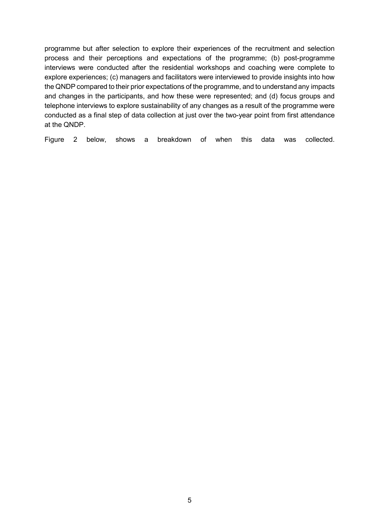programme but after selection to explore their experiences of the recruitment and selection process and their perceptions and expectations of the programme; (b) post-programme interviews were conducted after the residential workshops and coaching were complete to explore experiences; (c) managers and facilitators were interviewed to provide insights into how the QNDP compared to their prior expectations of the programme, and to understand any impacts and changes in the participants, and how these were represented; and (d) focus groups and telephone interviews to explore sustainability of any changes as a result of the programme were conducted as a final step of data collection at just over the two-year point from first attendance at the QNDP.

Figure 2 below, shows a breakdown of when this data was collected.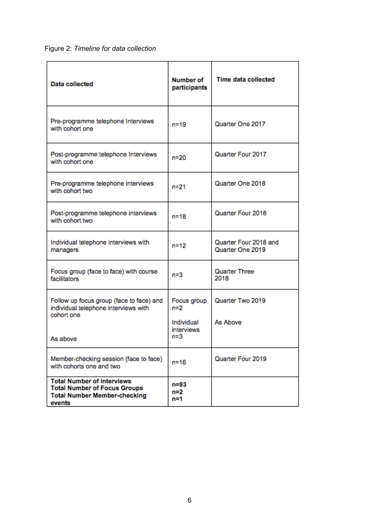Figure 2: *Timeline for data collection*

<span id="page-13-0"></span>

| <b>Data collected</b>                                                                                                     | <b>Number of</b><br>participants                            | <b>Time data collected</b>                |
|---------------------------------------------------------------------------------------------------------------------------|-------------------------------------------------------------|-------------------------------------------|
| Pre-programme telephone Interviews<br>with cohort one                                                                     | $n = 19$                                                    | Quarter One 2017                          |
| Post-programme telephone Interviews<br>with cohort one                                                                    | $n = 20$                                                    | Quarter Four 2017                         |
| Pre-programme telephone interviews<br>with cohort two                                                                     | $n = 21$                                                    | Quarter One 2018                          |
| Post-programme telephone interviews<br>with cohort two                                                                    | n=18                                                        | Quarter Four 2018                         |
| Individual telephone interviews with<br>managers                                                                          | $n = 12$                                                    | Quarter Four 2018 and<br>Quarter One 2019 |
| Focus group (face to face) with course<br>facilitators                                                                    | $n = 3$                                                     | Quarter Three<br>2018                     |
| Follow up focus group (face to face) and<br>individual telephone interviews with<br>cohort one<br>As above                | Focus group<br>$n=2$<br>Individual<br>interviews<br>$n = 3$ | Quarter Two 2019<br>As Above              |
| Member-checking session (face to face)<br>with cohorts one and two                                                        | $n = 16$                                                    | Quarter Four 2019                         |
| <b>Total Number of Interviews</b><br><b>Total Number of Focus Groups</b><br><b>Total Number Member-checking</b><br>events | n=93<br>n=2<br>n=1                                          |                                           |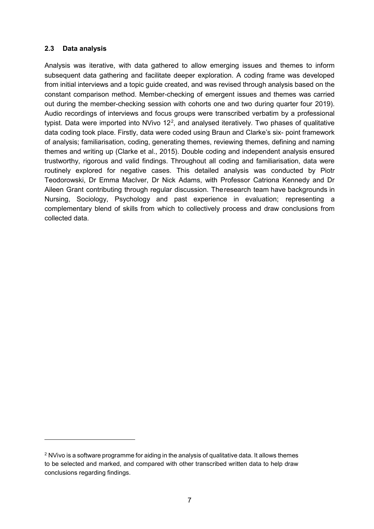#### **2.3 Data analysis**

-

Analysis was iterative, with data gathered to allow emerging issues and themes to inform subsequent data gathering and facilitate deeper exploration. A coding frame was developed from initial interviews and a topic guide created, and was revised through analysis based on the constant comparison method. Member-checking of emergent issues and themes was carried out during the member-checking session with cohorts one and two during quarter four 2019). Audio recordings of interviews and focus groups were transcribed verbatim by a professional typist. Data were imported into NVivo 1[2](#page-14-0)<sup>2</sup>, and analysed iteratively. Two phases of qualitative data coding took place. Firstly, data were coded using Braun and Clarke's six- point framework of analysis; familiarisation, coding, generating themes, reviewing themes, defining and naming themes and writing up (Clarke et al., 2015). Double coding and independent analysis ensured trustworthy, rigorous and valid findings. Throughout all coding and familiarisation, data were routinely explored for negative cases. This detailed analysis was conducted by Piotr Teodorowski, Dr Emma MacIver, Dr Nick Adams, with Professor Catriona Kennedy and Dr Aileen Grant contributing through regular discussion. Theresearch team have backgrounds in Nursing, Sociology, Psychology and past experience in evaluation; representing a complementary blend of skills from which to collectively process and draw conclusions from collected data.

<span id="page-14-0"></span><sup>&</sup>lt;sup>2</sup> NVivo is a software programme for aiding in the analysis of qualitative data. It allows themes to be selected and marked, and compared with other transcribed written data to help draw conclusions regarding findings.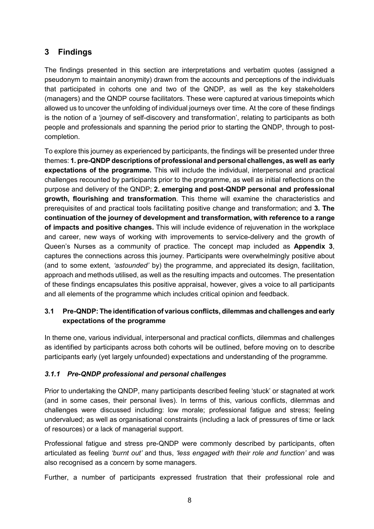# <span id="page-15-0"></span>**3 Findings**

The findings presented in this section are interpretations and verbatim quotes (assigned a pseudonym to maintain anonymity) drawn from the accounts and perceptions of the individuals that participated in cohorts one and two of the QNDP, as well as the key stakeholders (managers) and the QNDP course facilitators. These were captured at various timepoints which allowed us to uncover the unfolding of individual journeys over time. At the core of these findings is the notion of a 'journey of self-discovery and transformation', relating to participants as both people and professionals and spanning the period prior to starting the QNDP, through to postcompletion.

To explore this journey as experienced by participants, the findings will be presented under three themes: **1. pre-QNDP descriptions of professional and personal challenges, aswell as early expectations of the programme.** This will include the individual, interpersonal and practical challenges recounted by participants prior to the programme, as well as initial reflections on the purpose and delivery of the QNDP; **2. emerging and post-QNDP personal and professional growth, flourishing and transformation**. This theme will examine the characteristics and prerequisites of and practical tools facilitating positive change and transformation; and **3. The continuation of the journey of development and transformation, with reference to a range of impacts and positive changes.** This will include evidence of rejuvenation in the workplace and career, new ways of working with improvements to service-delivery and the growth of Queen's Nurses as a community of practice. The concept map included as **Appendix 3**, captures the connections across this journey. Participants were overwhelmingly positive about (and to some extent, *'astounded'* by) the programme, and appreciated its design, facilitation, approach and methods utilised, as well as the resulting impacts and outcomes. The presentation of these findings encapsulates this positive appraisal, however, gives a voice to all participants and all elements of the programme which includes critical opinion and feedback.

## <span id="page-15-1"></span>**3.1 Pre-QNDP: The identificationof various conflicts, dilemmas andchallenges and early expectations of the programme**

In theme one, various individual, interpersonal and practical conflicts, dilemmas and challenges as identified by participants across both cohorts will be outlined, before moving on to describe participants early (yet largely unfounded) expectations and understanding of the programme.

## <span id="page-15-2"></span>*3.1.1 Pre-QNDP professional and personal challenges*

Prior to undertaking the QNDP, many participants described feeling 'stuck' or stagnated at work (and in some cases, their personal lives). In terms of this, various conflicts, dilemmas and challenges were discussed including: low morale; professional fatigue and stress; feeling undervalued; as well as organisational constraints (including a lack of pressures of time or lack of resources) or a lack of managerial support.

Professional fatigue and stress pre-QNDP were commonly described by participants, often articulated as feeling *'burnt out'* and thus, *'less engaged with their role and function'* and was also recognised as a concern by some managers.

Further, a number of participants expressed frustration that their professional role and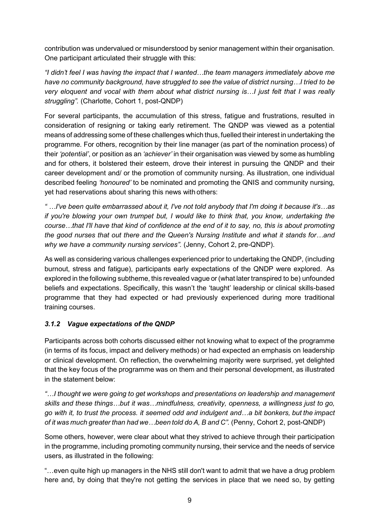contribution was undervalued or misunderstood by senior management within their organisation. One participant articulated their struggle with this:

*"I didn't feel I was having the impact that I wanted…the team managers immediately above me have no community background, have struggled to see the value of district nursing…I tried to be very eloquent and vocal with them about what district nursing is…I just felt that I was really struggling".* (Charlotte, Cohort 1, post-QNDP)

For several participants, the accumulation of this stress, fatigue and frustrations, resulted in consideration of resigning or taking early retirement. The QNDP was viewed as a potential means of addressing some of these challenges which thus, fuelled their interest in undertaking the programme. For others, recognition by their line manager (as part of the nomination process) of their *'potential'*, or position as an *'achiever'* in their organisation was viewed by some as humbling and for others, it bolstered their esteem, drove their interest in pursuing the QNDP and their career development and/ or the promotion of community nursing. As illustration, one individual described feeling *'honoured'* to be nominated and promoting the QNIS and community nursing, yet had reservations about sharing this news with others:

*" …I've been quite embarrassed about it, I've not told anybody that I'm doing it because it's…as if you're blowing your own trumpet but, I would like to think that, you know, undertaking the course…that I'll have that kind of confidence at the end of it to say, no, this is about promoting the good nurses that out there and the Queen's Nursing Institute and what it stands for…and why we have a community nursing services".* (Jenny, Cohort 2, pre-QNDP).

As well as considering various challenges experienced prior to undertaking the QNDP, (including burnout, stress and fatigue), participants early expectations of the QNDP were explored. As explored in the following subtheme, this revealed vague or (what later transpired to be) unfounded beliefs and expectations. Specifically, this wasn't the 'taught' leadership or clinical skills-based programme that they had expected or had previously experienced during more traditional training courses.

## <span id="page-16-0"></span>*3.1.2 Vague expectations of the QNDP*

Participants across both cohorts discussed either not knowing what to expect of the programme (in terms of its focus, impact and delivery methods) or had expected an emphasis on leadership or clinical development. On reflection, the overwhelming majority were surprised, yet delighted that the key focus of the programme was on them and their personal development, as illustrated in the statement below:

*"…I thought we were going to get workshops and presentations on leadership and management skills and these things…but it was…mindfulness, creativity, openness, a willingness just to go, go with it, to trust the process. it seemed odd and indulgent and…a bit bonkers, but the impact of it was much greater than had we…been told do A, B and C".* (Penny, Cohort 2, post-QNDP)

Some others, however, were clear about what they strived to achieve through their participation in the programme, including promoting community nursing, their service and the needs of service users, as illustrated in the following:

"…even quite high up managers in the NHS still don't want to admit that we have a drug problem here and, by doing that they're not getting the services in place that we need so, by getting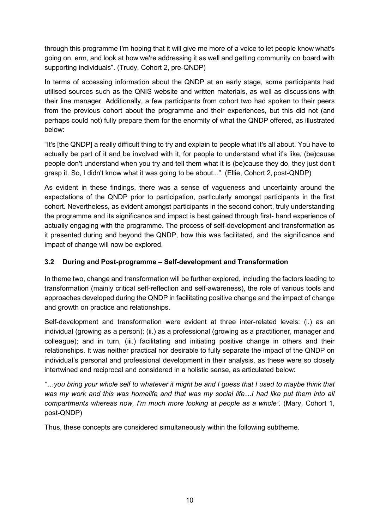through this programme I'm hoping that it will give me more of a voice to let people know what's going on, erm, and look at how we're addressing it as well and getting community on board with supporting individuals". (Trudy, Cohort 2, pre-QNDP)

In terms of accessing information about the QNDP at an early stage, some participants had utilised sources such as the QNIS website and written materials, as well as discussions with their line manager. Additionally, a few participants from cohort two had spoken to their peers from the previous cohort about the programme and their experiences, but this did not (and perhaps could not) fully prepare them for the enormity of what the QNDP offered, as illustrated below:

"It's [the QNDP] a really difficult thing to try and explain to people what it's all about. You have to actually be part of it and be involved with it, for people to understand what it's like, (be)cause people don't understand when you try and tell them what it is (be)cause they do, they just don't grasp it. So, I didn't know what it was going to be about...". (Ellie, Cohort 2, post-QNDP)

As evident in these findings, there was a sense of vagueness and uncertainty around the expectations of the QNDP prior to participation, particularly amongst participants in the first cohort. Nevertheless, as evident amongst participants in the second cohort, truly understanding the programme and its significance and impact is best gained through first- hand experience of actually engaging with the programme. The process of self-development and transformation as it presented during and beyond the QNDP, how this was facilitated, and the significance and impact of change will now be explored.

# <span id="page-17-0"></span>**3.2 During and Post-programme – Self-development and Transformation**

In theme two, change and transformation will be further explored, including the factors leading to transformation (mainly critical self-reflection and self-awareness), the role of various tools and approaches developed during the QNDP in facilitating positive change and the impact of change and growth on practice and relationships.

Self-development and transformation were evident at three inter-related levels: (i.) as an individual (growing as a person); (ii.) as a professional (growing as a practitioner, manager and colleague); and in turn, (iii.) facilitating and initiating positive change in others and their relationships. It was neither practical nor desirable to fully separate the impact of the QNDP on individual's personal and professional development in their analysis, as these were so closely intertwined and reciprocal and considered in a holistic sense, as articulated below:

*"…you bring your whole self to whatever it might be and I guess that I used to maybe think that was my work and this was homelife and that was my social life…I had like put them into all compartments whereas now, I'm much more looking at people as a whole".* (Mary, Cohort 1, post-QNDP)

<span id="page-17-1"></span>Thus, these concepts are considered simultaneously within the following subtheme.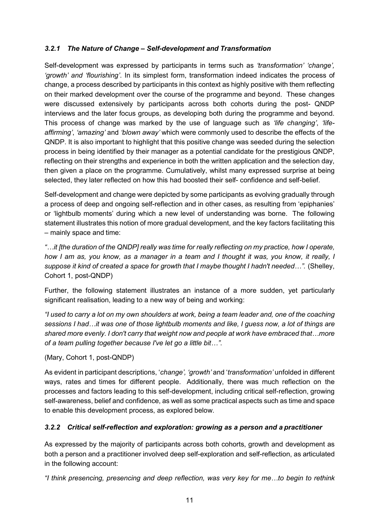## *3.2.1 The Nature of Change – Self-development and Transformation*

Self-development was expressed by participants in terms such as *'transformation' 'change', 'growth' and 'flourishing'*. In its simplest form, transformation indeed indicates the process of change, a process described by participants in this context as highly positive with them reflecting on their marked development over the course of the programme and beyond. These changes were discussed extensively by participants across both cohorts during the post- QNDP interviews and the later focus groups, as developing both during the programme and beyond. This process of change was marked by the use of language such as *'life changing'*, *'lifeaffirming'*, *'amazing'* and *'blown away'* which were commonly used to describe the effects of the QNDP. It is also important to highlight that this positive change was seeded during the selection process in being identified by their manager as a potential candidate for the prestigious QNDP, reflecting on their strengths and experience in both the written application and the selection day, then given a place on the programme. Cumulatively, whilst many expressed surprise at being selected, they later reflected on how this had boosted their self- confidence and self-belief.

Self-development and change were depicted by some participants as evolving gradually through a process of deep and ongoing self-reflection and in other cases, as resulting from 'epiphanies' or 'lightbulb moments' during which a new level of understanding was borne. The following statement illustrates this notion of more gradual development, and the key factors facilitating this – mainly space and time:

*"…it [the duration of the QNDP] really was time for really reflecting on my practice, how I operate, how I am as, you know, as a manager in a team and I thought it was, you know, it really, I suppose it kind of created a space for growth that I maybe thought I hadn't needed…".* (Shelley, Cohort 1, post-QNDP)

Further, the following statement illustrates an instance of a more sudden, yet particularly significant realisation, leading to a new way of being and working:

*"I used to carry a lot on my own shoulders at work, being a team leader and, one of the coaching sessions I had…it was one of those lightbulb moments and like, I guess now, a lot of things are shared more evenly. I don't carry that weight now and people at work have embraced that…more of a team pulling together because I've let go a little bit…"*.

### (Mary, Cohort 1, post-QNDP)

As evident in participant descriptions, '*change', 'growth'* and '*transformation'* unfolded in different ways, rates and times for different people. Additionally, there was much reflection on the processes and factors leading to this self-development, including critical self-reflection, growing self-awareness, belief and confidence, as well as some practical aspects such as time and space to enable this development process, as explored below.

### <span id="page-18-0"></span>*3.2.2 Critical self-reflection and exploration: growing as a person and a practitioner*

As expressed by the majority of participants across both cohorts, growth and development as both a person and a practitioner involved deep self-exploration and self-reflection, as articulated in the following account:

*"I think presencing, presencing and deep reflection, was very key for me…to begin to rethink*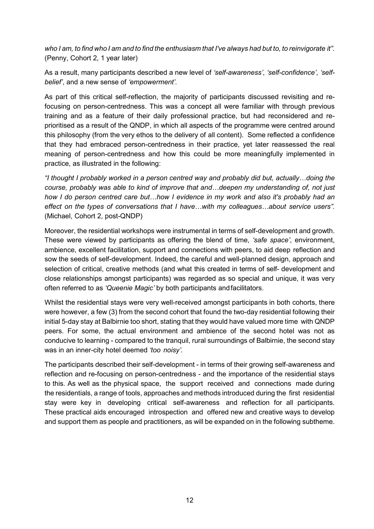who I am, to find who I am and to find the enthusiasm that I've always had but to, to reinvigorate it". (Penny, Cohort 2, 1 year later)

As a result, many participants described a new level of *'self-awareness'*, *'self-confidence'*, *'selfbelief'*, and a new sense of *'empowerment'*.

As part of this critical self-reflection, the majority of participants discussed revisiting and refocusing on person-centredness. This was a concept all were familiar with through previous training and as a feature of their daily professional practice, but had reconsidered and reprioritised as a result of the QNDP, in which all aspects of the programme were centred around this philosophy (from the very ethos to the delivery of all content). Some reflected a confidence that they had embraced person-centredness in their practice, yet later reassessed the real meaning of person-centredness and how this could be more meaningfully implemented in practice, as illustrated in the following:

*"I thought I probably worked in a person centred way and probably did but, actually…doing the course, probably was able to kind of improve that and…deepen my understanding of, not just how I do person centred care but…how I evidence in my work and also it's probably had an effect on the types of conversations that I have…with my colleagues…about service users".*  (Michael, Cohort 2, post-QNDP)

Moreover, the residential workshops were instrumental in terms of self-development and growth. These were viewed by participants as offering the blend of time, *'safe space'*, environment, ambience, excellent facilitation, support and connections with peers, to aid deep reflection and sow the seeds of self-development. Indeed, the careful and well-planned design, approach and selection of critical, creative methods (and what this created in terms of self- development and close relationships amongst participants) was regarded as so special and unique, it was very often referred to as *'Queenie Magic'* by both participants andfacilitators.

Whilst the residential stays were very well-received amongst participants in both cohorts, there were however, a few (3) from the second cohort that found the two-day residential following their initial 5-day stay at Balbirnie too short, stating that they would have valued more time with QNDP peers. For some, the actual environment and ambience of the second hotel was not as conducive to learning - compared to the tranquil, rural surroundings of Balbirnie, the second stay was in an inner-city hotel deemed *'too noisy'*.

<span id="page-19-0"></span>The participants described their self-development - in terms of their growing self-awareness and reflection and re-focusing on person-centredness - and the importance of the residential stays to this. As well as the physical space, the support received and connections made during the residentials, a range of tools, approaches and methods introduced during the first residential stay were key in developing critical self-awareness and reflection for all participants. These practical aids encouraged introspection and offered new and creative ways to develop and support them as people and practitioners, as will be expanded on in the following subtheme.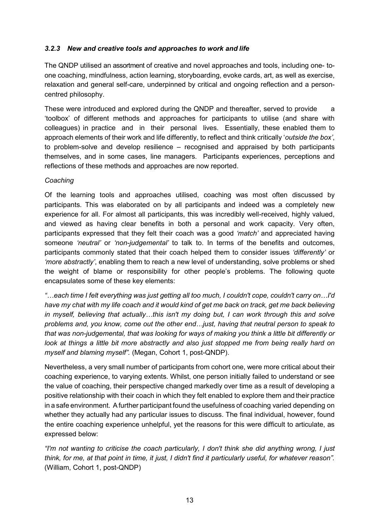### *3.2.3 New and creative tools and approaches to work and life*

The QNDP utilised an assortment of creative and novel approaches and tools, including one- toone coaching, mindfulness, action learning, storyboarding, evoke cards, art, as well as exercise, relaxation and general self-care, underpinned by critical and ongoing reflection and a personcentred philosophy.

These were introduced and explored during the QNDP and thereafter, served to provide a 'toolbox' of different methods and approaches for participants to utilise (and share with colleagues) in practice and in their personal lives. Essentially, these enabled them to approach elements of their work and life differently, to reflect and think critically '*outside the box'*, to problem-solve and develop resilience – recognised and appraised by both participants themselves, and in some cases, line managers. Participants experiences, perceptions and reflections of these methods and approaches are now reported.

#### *Coaching*

Of the learning tools and approaches utilised, coaching was most often discussed by participants. This was elaborated on by all participants and indeed was a completely new experience for all. For almost all participants, this was incredibly well-received, highly valued, and viewed as having clear benefits in both a personal and work capacity. Very often, participants expressed that they felt their coach was a good *'match'* and appreciated having someone *'neutral'* or *'non-judgemental'* to talk to. In terms of the benefits and outcomes, participants commonly stated that their coach helped them to consider issues *'differently'* or *'more abstractly'*, enabling them to reach a new level of understanding, solve problems or shed the weight of blame or responsibility for other people's problems. The following quote encapsulates some of these key elements:

*"…each time I felt everything was just getting all too much, I couldn't cope, couldn't carry on…I'd have my chat with my life coach and it would kind of get me back on track, get me back believing in myself, believing that actually…this isn't my doing but, I can work through this and solve problems and, you know, come out the other end…just, having that neutral person to speak to that was non-judgemental, that was looking for ways of making you think a little bit differently or look at things a little bit more abstractly and also just stopped me from being really hard on myself and blaming myself".* (Megan, Cohort 1, post-QNDP).

Nevertheless, a very small number of participants from cohort one, were more critical about their coaching experience, to varying extents. Whilst, one person initially failed to understand or see the value of coaching, their perspective changed markedly over time as a result of developing a positive relationship with their coach in which they felt enabled to explore them and their practice in a safe environment. Afurther participant found the usefulness of coaching varied depending on whether they actually had any particular issues to discuss. The final individual, however, found the entire coaching experience unhelpful, yet the reasons for this were difficult to articulate, as expressed below:

*"I'm not wanting to criticise the coach particularly, I don't think she did anything wrong, I just*  think, for me, at that point in time, it just, I didn't find it particularly useful, for whatever reason". (William, Cohort 1, post-QNDP)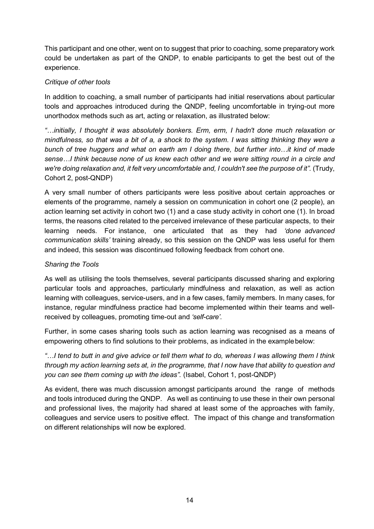This participant and one other, went on to suggest that prior to coaching, some preparatory work could be undertaken as part of the QNDP, to enable participants to get the best out of the experience.

### *Critique of other tools*

In addition to coaching, a small number of participants had initial reservations about particular tools and approaches introduced during the QNDP, feeling uncomfortable in trying-out more unorthodox methods such as art, acting or relaxation, as illustrated below:

*"…initially, I thought it was absolutely bonkers. Erm, erm, I hadn't done much relaxation or mindfulness, so that was a bit of a, a shock to the system. I was sitting thinking they were a bunch of tree huggers and what on earth am I doing there, but further into…it kind of made sense…I think because none of us knew each other and we were sitting round in a circle and*  we're doing relaxation and, it felt very uncomfortable and, I couldn't see the purpose of it". (Trudy, Cohort 2, post-QNDP)

A very small number of others participants were less positive about certain approaches or elements of the programme, namely a session on communication in cohort one (2 people), an action learning set activity in cohort two (1) and a case study activity in cohort one (1). In broad terms, the reasons cited related to the perceived irrelevance of these particular aspects, to their learning needs. For instance, one articulated that as they had *'done advanced communication skills'* training already, so this session on the QNDP was less useful for them and indeed, this session was discontinued following feedback from cohort one.

### *Sharing the Tools*

As well as utilising the tools themselves, several participants discussed sharing and exploring particular tools and approaches, particularly mindfulness and relaxation, as well as action learning with colleagues, service-users, and in a few cases, family members. In many cases, for instance, regular mindfulness practice had become implemented within their teams and wellreceived by colleagues, promoting time-out and *'self-care'*.

Further, in some cases sharing tools such as action learning was recognised as a means of empowering others to find solutions to their problems, as indicated in the examplebelow:

*"…I tend to butt in and give advice or tell them what to do, whereas I was allowing them I think through my action learning sets at, in the programme, that I now have that ability to question and you can see them coming up with the ideas".* (Isabel, Cohort 1, post-QNDP)

<span id="page-21-0"></span>As evident, there was much discussion amongst participants around the range of methods and tools introduced during the QNDP. As well as continuing to use these in their own personal and professional lives, the majority had shared at least some of the approaches with family, colleagues and service users to positive effect. The impact of this change and transformation on different relationships will now be explored.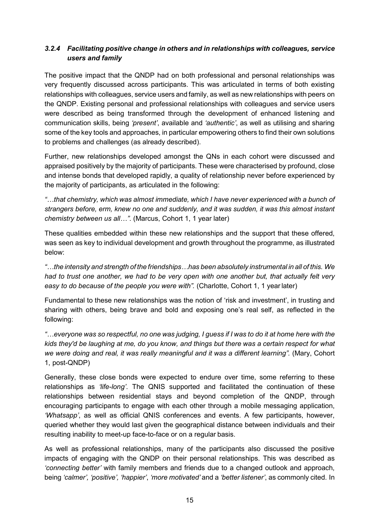## *3.2.4 Facilitating positive change in others and in relationships with colleagues, service users and family*

The positive impact that the QNDP had on both professional and personal relationships was very frequently discussed across participants. This was articulated in terms of both existing relationships with colleagues, service users and family, as well as new relationships with peers on the QNDP. Existing personal and professional relationships with colleagues and service users were described as being transformed through the development of enhanced listening and communication skills, being *'present'*, available and *'authentic'*, as well as utilising and sharing some of the key tools and approaches, in particular empowering others to find their own solutions to problems and challenges (as already described).

Further, new relationships developed amongst the QNs in each cohort were discussed and appraised positively by the majority of participants. These were characterised by profound, close and intense bonds that developed rapidly, a quality of relationship never before experienced by the majority of participants, as articulated in the following:

*"…that chemistry, which was almost immediate, which I have never experienced with a bunch of strangers before, erm, knew no one and suddenly, and it was sudden, it was this almost instant chemistry between us all…"*. (Marcus, Cohort 1, 1 year later)

These qualities embedded within these new relationships and the support that these offered, was seen as key to individual development and growth throughout the programme, as illustrated below:

*"…the intensity and strength of the friendships…has been absolutely instrumental in all of this. We had to trust one another, we had to be very open with one another but, that actually felt very easy to do because of the people you were with".* (Charlotte, Cohort 1, 1 yearlater)

Fundamental to these new relationships was the notion of 'risk and investment', in trusting and sharing with others, being brave and bold and exposing one's real self, as reflected in the following:

example was so respectful, no one was judging, I guess if I was to do it at home here with the " *kids they'd be laughing at me, do you know, and things but there was a certain respect for what we were doing and real, it was really meaningful and it was a different learning".* (Mary, Cohort 1, post-QNDP)

Generally, these close bonds were expected to endure over time, some referring to these relationships as *'life-long'*. The QNIS supported and facilitated the continuation of these relationships between residential stays and beyond completion of the QNDP, through encouraging participants to engage with each other through a mobile messaging application, *'Whatsapp'*, as well as official QNIS conferences and events. A few participants, however, queried whether they would last given the geographical distance between individuals and their resulting inability to meet-up face-to-face or on a regular basis.

As well as professional relationships, many of the participants also discussed the positive impacts of engaging with the QNDP on their personal relationships. This was described as *'connecting better'* with family members and friends due to a changed outlook and approach, being *'calmer', 'positive', 'happier'*, *'more motivated'* and a *'better listener'*, as commonly cited. In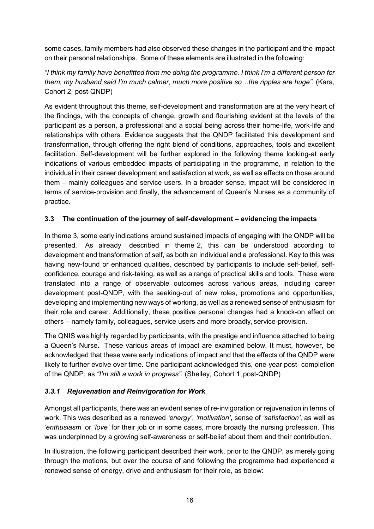some cases, family members had also observed these changes in the participant and the impact on their personal relationships. Some of these elements are illustrated in the following:

*"I think my family have benefitted from me doing the programme. I think I'm a different person for them, my husband said I'm much calmer, much more positive so...the ripples are huge".* (Kara, Cohort 2, post-QNDP)

As evident throughout this theme, self-development and transformation are at the very heart of the findings, with the concepts of change, growth and flourishing evident at the levels of the participant as a person, a professional and a social being across their home-life, work-life and relationships with others. Evidence suggests that the QNDP facilitated this development and transformation, through offering the right blend of conditions, approaches, tools and excellent facilitation. Self-development will be further explored in the following theme looking-at early indications of various embedded impacts of participating in the programme, in relation to the individual in their career development and satisfaction at work, as well as effects on those around them – mainly colleagues and service users. In a broader sense, impact will be considered in terms of service-provision and finally, the advancement of Queen's Nurses as a community of practice.

## <span id="page-23-0"></span>**3.3 The continuation of the journey of self-development – evidencing the impacts**

In theme 3, some early indications around sustained impacts of engaging with the QNDP will be presented. As already described in theme 2, this can be understood according to development and transformation of self, as both an individual and a professional. Key to this was having new-found or enhanced qualities, described by participants to include self-belief, selfconfidence, courage and risk-taking, as well as a range of practical skills and tools. These were translated into a range of observable outcomes across various areas, including career development post-QNDP, with the seeking-out of new roles, promotions and opportunities, developing and implementing new ways of working, as well as a renewed sense of enthusiasm for their role and career. Additionally, these positive personal changes had a knock-on effect on others – namely family, colleagues, service users and more broadly, service-provision.

The QNIS was highly regarded by participants, with the prestige and influence attached to being a Queen's Nurse. These various areas of impact are examined below. It must, however, be acknowledged that these were early indications of impact and that the effects of the QNDP were likely to further evolve over time. One participant acknowledged this, one-year post- completion of the QNDP, as *"I'm still a work in progress"*. (Shelley, Cohort 1, post-QNDP)

### <span id="page-23-1"></span>*3.3.1 Rejuvenation and Reinvigoration for Work*

Amongst all participants, there was an evident sense of re-invigoration or rejuvenation in terms of work. This was described as a renewed *'energy'*, *'motivation'*, sense of *'satisfaction'*, as well as *'enthusiasm'* or *'love'* for their job or in some cases, more broadly the nursing profession. This was underpinned by a growing self-awareness or self-belief about them and their contribution.

In illustration, the following participant described their work, prior to the QNDP, as merely going through the motions, but over the course of and following the programme had experienced a renewed sense of energy, drive and enthusiasm for their role, as below: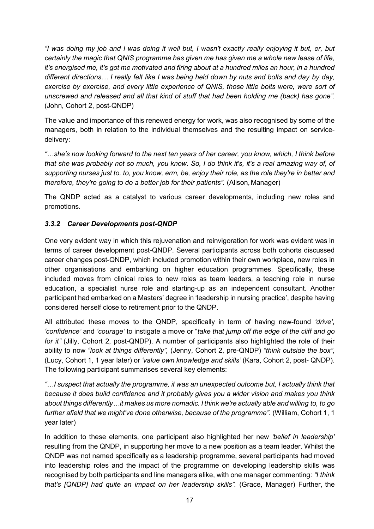*"I was doing my job and I was doing it well but, I wasn't exactly really enjoying it but, er, but certainly the magic that QNIS programme has given me has given me a whole new lease of life, it's energised me, it's got me motivated and firing about at a hundred miles an hour, in a hundred different directions… I really felt like I was being held down by nuts and bolts and day by day, exercise by exercise, and every little experience of QNIS, those little bolts were, were sort of unscrewed and released and all that kind of stuff that had been holding me (back) has gone"*. (John, Cohort 2, post-QNDP)

The value and importance of this renewed energy for work, was also recognised by some of the managers, both in relation to the individual themselves and the resulting impact on servicedelivery:

*"…she's now looking forward to the next ten years of her career, you know, which, I think before that she was probably not so much, you know. So, I do think it's, it's a real amazing way of, of supporting nurses just to, to, you know, erm, be, enjoy their role, as the role they're in better and therefore, they're going to do a better job for their patients".* (Alison, Manager)

The QNDP acted as a catalyst to various career developments, including new roles and promotions.

## <span id="page-24-0"></span>*3.3.2 Career Developments post-QNDP*

One very evident way in which this rejuvenation and reinvigoration for work was evident was in terms of career development post-QNDP. Several participants across both cohorts discussed career changes post-QNDP, which included promotion within their own workplace, new roles in other organisations and embarking on higher education programmes. Specifically, these included moves from clinical roles to new roles as team leaders, a teaching role in nurse education, a specialist nurse role and starting-up as an independent consultant. Another participant had embarked on a Masters' degree in 'leadership in nursing practice', despite having considered herself close to retirement prior to the QNDP.

All attributed these moves to the QNDP, specifically in term of having new-found *'drive'*, *'confidence'* and *'courage'* to instigate a move or "*take that jump off the edge of the cliff and go for it"* (Jilly, Cohort 2, post-QNDP). A number of participants also highlighted the role of their ability to now *"look at things differently",* (Jenny, Cohort 2, pre-QNDP) *"think outside the box"*, (Lucy, Cohort 1, 1 year later) or *'value own knowledge and skills'* (Kara, Cohort 2, post- QNDP). The following participant summarises several key elements:

*"…I suspect that actually the programme, it was an unexpected outcome but, I actually think that because it does build confidence and it probably gives you a wider vision and makes you think about things differently…it makes us more nomadic. I think we're actually able and willing to, to go further afield that we might've done otherwise, because of the programme".* (William, Cohort 1, 1 year later)

In addition to these elements, one participant also highlighted her new *'belief in leadership'*  resulting from the QNDP, in supporting her move to a new position as a team leader. Whilst the QNDP was not named specifically as a leadership programme, several participants had moved into leadership roles and the impact of the programme on developing leadership skills was recognised by both participants and line managers alike, with one manager commenting: *"I think that's [QNDP] had quite an impact on her leadership skills".* (Grace, Manager) Further, the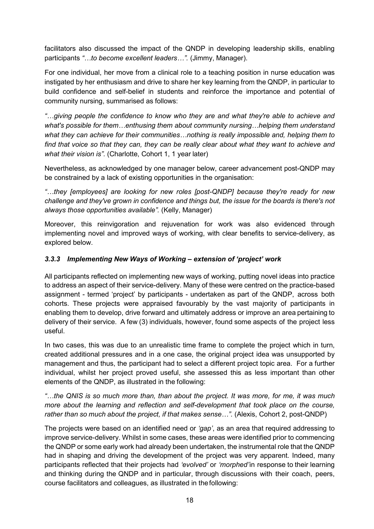facilitators also discussed the impact of the QNDP in developing leadership skills, enabling participants *"…to become excellent leaders…".* (Jimmy, Manager).

For one individual, her move from a clinical role to a teaching position in nurse education was instigated by her enthusiasm and drive to share her key learning from the QNDP, in particular to build confidence and self-belief in students and reinforce the importance and potential of community nursing, summarised as follows:

*"…giving people the confidence to know who they are and what they're able to achieve and what's possible for them…enthusing them about community nursing…helping them understand what they can achieve for their communities…nothing is really impossible and, helping them to find that voice so that they can, they can be really clear about what they want to achieve and what their vision is"*. (Charlotte, Cohort 1, 1 year later)

Nevertheless, as acknowledged by one manager below, career advancement post-QNDP may be constrained by a lack of existing opportunities in the organisation:

*"…they [employees] are looking for new roles [post-QNDP] because they're ready for new challenge and they've grown in confidence and things but, the issue for the boards is there's not always those opportunities available".* (Kelly, Manager)

Moreover, this reinvigoration and rejuvenation for work was also evidenced through implementing novel and improved ways of working, with clear benefits to service-delivery, as explored below.

## <span id="page-25-0"></span>*3.3.3 Implementing New Ways of Working – extension of 'project' work*

All participants reflected on implementing new ways of working, putting novel ideas into practice to address an aspect of their service-delivery. Many of these were centred on the practice-based assignment - termed 'project' by participants - undertaken as part of the QNDP, across both cohorts. These projects were appraised favourably by the vast majority of participants in enabling them to develop, drive forward and ultimately address or improve an area pertaining to delivery of their service. A few (3) individuals, however, found some aspects of the project less useful.

In two cases, this was due to an unrealistic time frame to complete the project which in turn, created additional pressures and in a one case, the original project idea was unsupported by management and thus, the participant had to select a different project topic area. For a further individual, whilst her project proved useful, she assessed this as less important than other elements of the QNDP, as illustrated in the following:

*"…the QNIS is so much more than, than about the project. It was more, for me, it was much more about the learning and reflection and self-development that took place on the course, rather than so much about the project, if that makes sense…"*. (Alexis, Cohort 2, post-QNDP)

The projects were based on an identified need or *'gap'*, as an area that required addressing to improve service-delivery. Whilst in some cases, these areas were identified prior to commencing the QNDP or some early work had already been undertaken, the instrumental role that the QNDP had in shaping and driving the development of the project was very apparent. Indeed, many participants reflected that their projects had *'evolved'* or *'morphed'*in response to their learning and thinking during the QNDP and in particular, through discussions with their coach, peers, course facilitators and colleagues, as illustrated in thefollowing: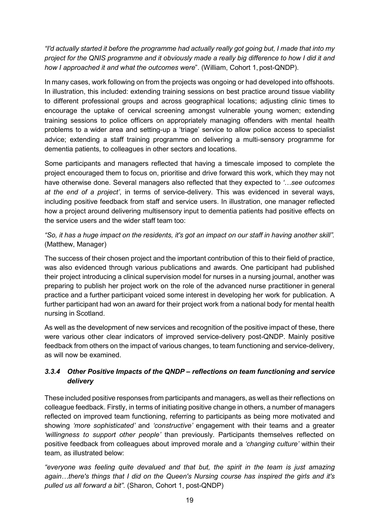*"I'd actually started it before the programme had actually really got going but, I made that into my project for the QNIS programme and it obviously made a really big difference to how I did it and how I approached it and what the outcomes were*". (William, Cohort 1, post-QNDP).

In many cases, work following on from the projects was ongoing or had developed into offshoots. In illustration, this included: extending training sessions on best practice around tissue viability to different professional groups and across geographical locations; adjusting clinic times to encourage the uptake of cervical screening amongst vulnerable young women; extending training sessions to police officers on appropriately managing offenders with mental health problems to a wider area and setting-up a 'triage' service to allow police access to specialist advice; extending a staff training programme on delivering a multi-sensory programme for dementia patients, to colleagues in other sectors and locations.

Some participants and managers reflected that having a timescale imposed to complete the project encouraged them to focus on, prioritise and drive forward this work, which they may not have otherwise done. Several managers also reflected that they expected to *'…see outcomes at the end of a project'*, in terms of service-delivery. This was evidenced in several ways, including positive feedback from staff and service users. In illustration, one manager reflected how a project around delivering multisensory input to dementia patients had positive effects on the service users and the wider staff team too:

*"So, it has a huge impact on the residents, it's got an impact on our staff in having another skill".*  (Matthew, Manager)

The success of their chosen project and the important contribution of this to their field of practice, was also evidenced through various publications and awards. One participant had published their project introducing a clinical supervision model for nurses in a nursing journal, another was preparing to publish her project work on the role of the advanced nurse practitioner in general practice and a further participant voiced some interest in developing her work for publication. A further participant had won an award for their project work from a national body for mental health nursing in Scotland.

As well as the development of new services and recognition of the positive impact of these, there were various other clear indicators of improved service-delivery post-QNDP. Mainly positive feedback from others on the impact of various changes, to team functioning and service-delivery, as will now be examined.

## <span id="page-26-0"></span>*3.3.4 Other Positive Impacts of the QNDP – reflections on team functioning and service delivery*

These included positive responses from participants and managers, as well as their reflections on colleague feedback. Firstly, in terms of initiating positive change in others, a number of managers reflected on improved team functioning, referring to participants as being more motivated and showing *'more sophisticated'* and *'constructive'* engagement with their teams and a greater *'willingness to support other people'* than previously. Participants themselves reflected on positive feedback from colleagues about improved morale and a *'changing culture'* within their team, as illustrated below:

*"everyone was feeling quite devalued and that but, the spirit in the team is just amazing again…there's things that I did on the Queen's Nursing course has inspired the girls and it's pulled us all forward a bit"*. (Sharon, Cohort 1, post-QNDP)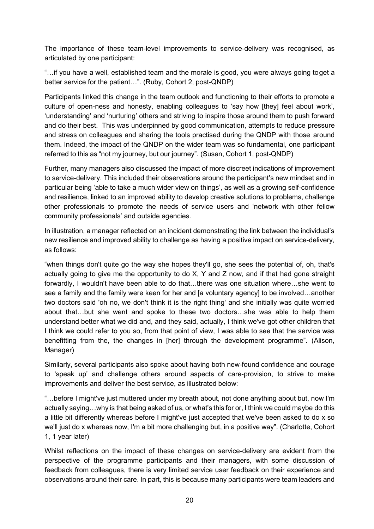The importance of these team-level improvements to service-delivery was recognised, as articulated by one participant:

"…if you have a well, established team and the morale is good, you were always going toget a better service for the patient…". (Ruby, Cohort 2, post-QNDP)

Participants linked this change in the team outlook and functioning to their efforts to promote a culture of open-ness and honesty, enabling colleagues to 'say how [they] feel about work', 'understanding' and 'nurturing' others and striving to inspire those around them to push forward and do their best. This was underpinned by good communication, attempts to reduce pressure and stress on colleagues and sharing the tools practised during the QNDP with those around them. Indeed, the impact of the QNDP on the wider team was so fundamental, one participant referred to this as "not my journey, but our journey". (Susan, Cohort 1, post-QNDP)

Further, many managers also discussed the impact of more discreet indications of improvement to service-delivery. This included their observations around the participant's new mindset and in particular being 'able to take a much wider view on things', as well as a growing self-confidence and resilience, linked to an improved ability to develop creative solutions to problems, challenge other professionals to promote the needs of service users and 'network with other fellow community professionals' and outside agencies.

In illustration, a manager reflected on an incident demonstrating the link between the individual's new resilience and improved ability to challenge as having a positive impact on service-delivery, as follows:

"when things don't quite go the way she hopes they'll go, she sees the potential of, oh, that's actually going to give me the opportunity to do X, Y and Z now, and if that had gone straight forwardly, I wouldn't have been able to do that…there was one situation where…she went to see a family and the family were keen for her and [a voluntary agency] to be involved…another two doctors said 'oh no, we don't think it is the right thing' and she initially was quite worried about that…but she went and spoke to these two doctors…she was able to help them understand better what we did and, and they said, actually, I think we've got other children that I think we could refer to you so, from that point of view, I was able to see that the service was benefitting from the, the changes in [her] through the development programme". (Alison, Manager)

Similarly, several participants also spoke about having both new-found confidence and courage to 'speak up' and challenge others around aspects of care-provision, to strive to make improvements and deliver the best service, as illustrated below:

"…before I might've just muttered under my breath about, not done anything about but, now I'm actually saying…why is that being asked of us, or what's this for or, I think we could maybe do this a little bit differently whereas before I might've just accepted that we've been asked to do x so we'll just do x whereas now, I'm a bit more challenging but, in a positive way". (Charlotte, Cohort 1, 1 year later)

Whilst reflections on the impact of these changes on service-delivery are evident from the perspective of the programme participants and their managers, with some discussion of feedback from colleagues, there is very limited service user feedback on their experience and observations around their care. In part, this is because many participants were team leaders and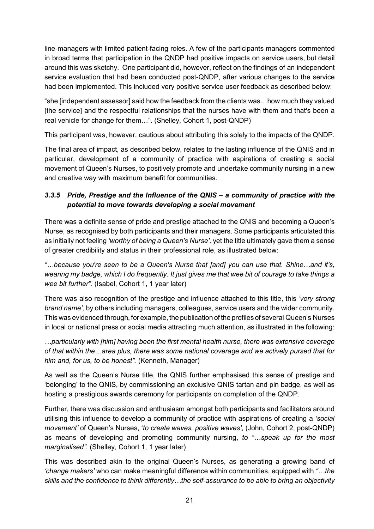line-managers with limited patient-facing roles. A few of the participants managers commented in broad terms that participation in the QNDP had positive impacts on service users, but detail around this was sketchy. One participant did, however, reflect on the findings of an independent service evaluation that had been conducted post-QNDP, after various changes to the service had been implemented. This included very positive service user feedback as described below:

"she [independent assessor] said how the feedback from the clients was…how much they valued [the service] and the respectful relationships that the nurses have with them and that's been a real vehicle for change for them…". (Shelley, Cohort 1, post-QNDP)

This participant was, however, cautious about attributing this solely to the impacts of the QNDP.

The final area of impact, as described below, relates to the lasting influence of the QNIS and in particular, development of a community of practice with aspirations of creating a social movement of Queen's Nurses, to positively promote and undertake community nursing in a new and creative way with maximum benefit for communities.

## <span id="page-28-0"></span>*3.3.5 Pride, Prestige and the Influence of the QNIS – a community of practice with the potential to move towards developing a social movement*

There was a definite sense of pride and prestige attached to the QNIS and becoming a Queen's Nurse, as recognised by both participants and their managers. Some participants articulated this as initially not feeling *'worthy of being a Queen's Nurse',* yet the title ultimately gave them a sense of greater credibility and status in their professional role, as illustrated below:

*"…because you're seen to be a Queen's Nurse that [and] you can use that. Shine…and it's,*  wearing my badge, which I do frequently. It just gives me that wee bit of courage to take things a *wee bit further".* (Isabel, Cohort 1, 1 year later)

There was also recognition of the prestige and influence attached to this title, this *'very strong brand name',* by others including managers, colleagues, service users and the wider community. This was evidenced through, for example, the publication of the profiles of several Queen's Nurses in local or national press or social media attracting much attention, as illustrated in the following:

*…particularly with [him] having been the first mental health nurse, there was extensive coverage of that within the…area plus, there was some national coverage and we actively pursed that for him and, for us, to be honest".* (Kenneth, Manager)

As well as the Queen's Nurse title, the QNIS further emphasised this sense of prestige and 'belonging' to the QNIS, by commissioning an exclusive QNIS tartan and pin badge, as well as hosting a prestigious awards ceremony for participants on completion of the QNDP.

Further, there was discussion and enthusiasm amongst both participants and facilitators around utilising this influence to develop a community of practice with aspirations of creating a *'social movement'* of Queen's Nurses, '*to create waves, positive waves'*, (John, Cohort 2, post-QNDP) as means of developing and promoting community nursing, *to "…speak up for the most marginalised".* (Shelley, Cohort 1, 1 year later)

This was described akin to the original Queen's Nurses, as generating a growing band of *'change makers'* who can make meaningful difference within communities, equipped with *"…the skills and the confidence to think differently…the self-assurance to be able to bring an objectivity*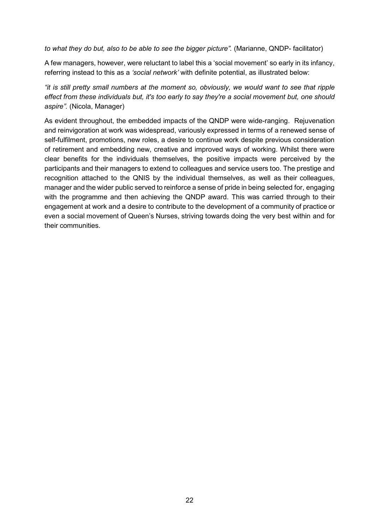*to what they do but, also to be able to see the bigger picture".* (Marianne, QNDP- facilitator)

A few managers, however, were reluctant to label this a 'social movement' so early in its infancy, referring instead to this as a *'social network'* with definite potential, as illustrated below:

*"it is still pretty small numbers at the moment so, obviously, we would want to see that ripple effect from these individuals but, it's too early to say they're a social movement but, one should aspire".* (Nicola, Manager)

<span id="page-29-0"></span>As evident throughout, the embedded impacts of the QNDP were wide-ranging. Rejuvenation and reinvigoration at work was widespread, variously expressed in terms of a renewed sense of self-fulfilment, promotions, new roles, a desire to continue work despite previous consideration of retirement and embedding new, creative and improved ways of working. Whilst there were clear benefits for the individuals themselves, the positive impacts were perceived by the participants and their managers to extend to colleagues and service users too. The prestige and recognition attached to the QNIS by the individual themselves, as well as their colleagues, manager and the wider public served to reinforce a sense of pride in being selected for, engaging with the programme and then achieving the QNDP award. This was carried through to their engagement at work and a desire to contribute to the development of a community of practice or even a social movement of Queen's Nurses, striving towards doing the very best within and for their communities.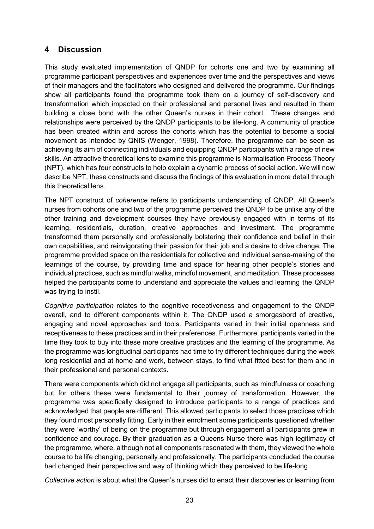# **4 Discussion**

This study evaluated implementation of QNDP for cohorts one and two by examining all programme participant perspectives and experiences over time and the perspectives and views of their managers and the facilitators who designed and delivered the programme. Our findings show all participants found the programme took them on a journey of self-discovery and transformation which impacted on their professional and personal lives and resulted in them building a close bond with the other Queen's nurses in their cohort. These changes and relationships were perceived by the QNDP participants to be life-long. A community of practice has been created within and across the cohorts which has the potential to become a social movement as intended by QNIS (Wenger, 1998). Therefore, the programme can be seen as achieving its aim of connecting individuals and equipping QNDP participants with a range of new skills. An attractive theoretical lens to examine this programme is Normalisation Process Theory (NPT), which has four constructs to help explain a dynamic process of social action. We will now describe NPT, these constructs and discuss the findings of this evaluation in more detail through this theoretical lens.

The NPT construct of *coherence* refers to participants understanding of QNDP. All Queen's nurses from cohorts one and two of the programme perceived the QNDP to be unlike any of the other training and development courses they have previously engaged with in terms of its learning, residentials, duration, creative approaches and investment. The programme transformed them personally and professionally bolstering their confidence and belief in their own capabilities, and reinvigorating their passion for their job and a desire to drive change. The programme provided space on the residentials for collective and individual sense-making of the learnings of the course, by providing time and space for hearing other people's stories and individual practices, such as mindful walks, mindful movement, and meditation. These processes helped the participants come to understand and appreciate the values and learning the QNDP was trying to instil.

*Cognitive participation* relates to the cognitive receptiveness and engagement to the QNDP overall, and to different components within it. The QNDP used a smorgasbord of creative, engaging and novel approaches and tools. Participants varied in their initial openness and receptiveness to these practices and in their preferences. Furthermore, participants varied in the time they took to buy into these more creative practices and the learning of the programme. As the programme was longitudinal participants had time to try different techniques during the week long residential and at home and work, between stays, to find what fitted best for them and in their professional and personal contexts.

There were components which did not engage all participants, such as mindfulness or coaching but for others these were fundamental to their journey of transformation. However, the programme was specifically designed to introduce participants to a range of practices and acknowledged that people are different. This allowed participants to select those practices which they found most personally fitting. Early in their enrolment some participants questioned whether they were 'worthy' of being on the programme but through engagement all participants grew in confidence and courage. By their graduation as a Queens Nurse there was high legitimacy of the programme, where, although not all components resonated with them, they viewed the whole course to be life changing, personally and professionally. The participants concluded the course had changed their perspective and way of thinking which they perceived to be life-long.

*Collective action* is about what the Queen's nurses did to enact their discoveries or learning from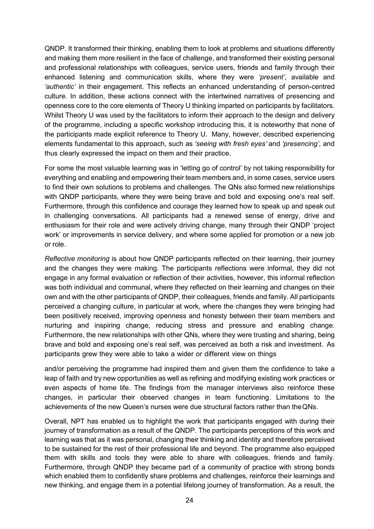QNDP. It transformed their thinking, enabling them to look at problems and situations differently and making them more resilient in the face of challenge, and transformed their existing personal and professional relationships with colleagues, service users, friends and family through their enhanced listening and communication skills, where they were *'present'*, available and *'authentic'* in their engagement. This reflects an enhanced understanding of person-centred culture. In addition, these actions connect with the intertwined narratives of presencing and openness core to the core elements of Theory U thinking imparted on participants by facilitators. Whilst Theory U was used by the facilitators to inform their approach to the design and delivery of the programme, including a specific workshop introducing this, it is noteworthy that none of the participants made explicit reference to Theory U. Many, however, described experiencing elements fundamental to this approach, such as *'seeing with fresh eyes'* and *'presencing'*, and thus clearly expressed the impact on them and their practice.

For some the most valuable learning was in 'letting go of control' by not taking responsibility for everything and enabling and empowering their team members and, in some cases, service users to find their own solutions to problems and challenges. The QNs also formed new relationships with QNDP participants, where they were being brave and bold and exposing one's real self. Furthermore, through this confidence and courage they learned how to speak up and speak out in challenging conversations. All participants had a renewed sense of energy, drive and enthusiasm for their role and were actively driving change, many through their QNDP 'project work' or improvements in service delivery, and where some applied for promotion or a new job or role.

*Reflective monitoring* is about how QNDP participants reflected on their learning, their journey and the changes they were making. The participants reflections were informal, they did not engage in any formal evaluation or reflection of their activities, however, this informal reflection was both individual and communal, where they reflected on their learning and changes on their own and with the other participants of QNDP, their colleagues, friends and family. All participants perceived a changing culture, in particular at work, where the changes they were bringing had been positively received, improving openness and honesty between their team members and nurturing and inspiring change, reducing stress and pressure and enabling change. Furthermore, the new relationships with other QNs, where they were trusting and sharing, being brave and bold and exposing one's real self, was perceived as both a risk and investment. As participants grew they were able to take a wider or different view on things

and/or perceiving the programme had inspired them and given them the confidence to take a leap of faith and try new opportunities as well as refining and modifying existing work practices or even aspects of home life. The findings from the manager interviews also reinforce these changes, in particular their observed changes in team functioning. Limitations to the achievements of the new Queen's nurses were due structural factors rather than theQNs.

Overall, NPT has enabled us to highlight the work that participants engaged with during their journey of transformation as a result of the QNDP. The participants perceptions of this work and learning was that as it was personal, changing their thinking and identity and therefore perceived to be sustained for the rest of their professional life and beyond. The programme also equipped them with skills and tools they were able to share with colleagues, friends and family. Furthermore, through QNDP they became part of a community of practice with strong bonds which enabled them to confidently share problems and challenges, reinforce their learnings and new thinking, and engage them in a potential lifelong journey of transformation. As a result, the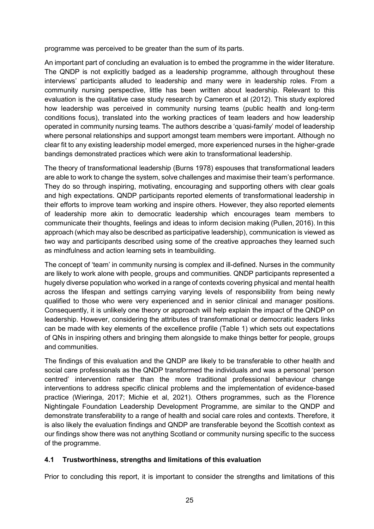programme was perceived to be greater than the sum of its parts.

An important part of concluding an evaluation is to embed the programme in the wider literature. The QNDP is not explicitly badged as a leadership programme, although throughout these interviews' participants alluded to leadership and many were in leadership roles. From a community nursing perspective, little has been written about leadership. Relevant to this evaluation is the qualitative case study research by Cameron et al (2012). This study explored how leadership was perceived in community nursing teams (public health and long-term conditions focus), translated into the working practices of team leaders and how leadership operated in community nursing teams. The authors describe a 'quasi-family' model of leadership where personal relationships and support amongst team members were important. Although no clear fit to any existing leadership model emerged, more experienced nurses in the higher-grade bandings demonstrated practices which were akin to transformational leadership.

The theory of transformational leadership (Burns 1978) espouses that transformational leaders are able to work to change the system, solve challenges and maximise their team's performance. They do so through inspiring, motivating, encouraging and supporting others with clear goals and high expectations. QNDP participants reported elements of transformational leadership in their efforts to improve team working and inspire others. However, they also reported elements of leadership more akin to democratic leadership which encourages team members to communicate their thoughts, feelings and ideas to inform decision making (Pullen, 2016). In this approach (which may also be described as participative leadership), communication is viewed as two way and participants described using some of the creative approaches they learned such as mindfulness and action learning sets in teambuilding.

The concept of 'team' in community nursing is complex and ill-defined. Nurses in the community are likely to work alone with people, groups and communities. QNDP participants represented a hugely diverse population who worked in a range of contexts covering physical and mental health across the lifespan and settings carrying varying levels of responsibility from being newly qualified to those who were very experienced and in senior clinical and manager positions. Consequently, it is unlikely one theory or approach will help explain the impact of the QNDP on leadership. However, considering the attributes of transformational or democratic leaders links can be made with key elements of the excellence profile (Table 1) which sets out expectations of QNs in inspiring others and bringing them alongside to make things better for people, groups and communities.

The findings of this evaluation and the QNDP are likely to be transferable to other health and social care professionals as the QNDP transformed the individuals and was a personal 'person centred' intervention rather than the more traditional professional behaviour change interventions to address specific clinical problems and the implementation of evidence-based practice (Wieringa, 2017; Michie et al, 2021). Others programmes, such as the Florence Nightingale Foundation Leadership Development Programme, are similar to the QNDP and demonstrate transferability to a range of health and social care roles and contexts. Therefore, it is also likely the evaluation findings and QNDP are transferable beyond the Scottish context as our findings show there was not anything Scotland or community nursing specific to the success of the programme.

### <span id="page-32-0"></span>**4.1 Trustworthiness, strengths and limitations of this evaluation**

Prior to concluding this report, it is important to consider the strengths and limitations of this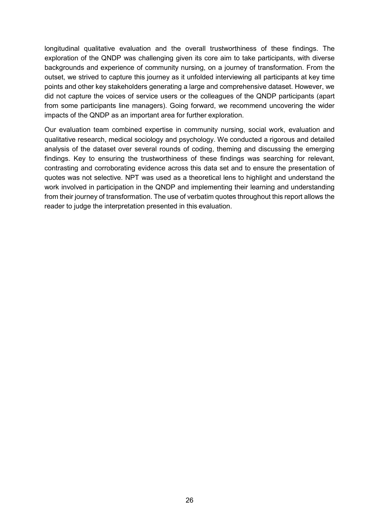longitudinal qualitative evaluation and the overall trustworthiness of these findings. The exploration of the QNDP was challenging given its core aim to take participants, with diverse backgrounds and experience of community nursing, on a journey of transformation. From the outset, we strived to capture this journey as it unfolded interviewing all participants at key time points and other key stakeholders generating a large and comprehensive dataset. However, we did not capture the voices of service users or the colleagues of the QNDP participants (apart from some participants line managers). Going forward, we recommend uncovering the wider impacts of the QNDP as an important area for further exploration.

<span id="page-33-0"></span>Our evaluation team combined expertise in community nursing, social work, evaluation and qualitative research, medical sociology and psychology. We conducted a rigorous and detailed analysis of the dataset over several rounds of coding, theming and discussing the emerging findings. Key to ensuring the trustworthiness of these findings was searching for relevant, contrasting and corroborating evidence across this data set and to ensure the presentation of quotes was not selective. NPT was used as a theoretical lens to highlight and understand the work involved in participation in the QNDP and implementing their learning and understanding from their journey of transformation. The use of verbatim quotes throughout this report allows the reader to judge the interpretation presented in this evaluation.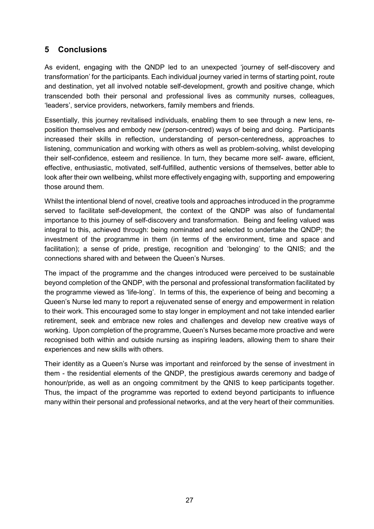# **5 Conclusions**

As evident, engaging with the QNDP led to an unexpected 'journey of self-discovery and transformation' for the participants. Each individual journey varied in terms of starting point, route and destination, yet all involved notable self-development, growth and positive change, which transcended both their personal and professional lives as community nurses, colleagues, 'leaders', service providers, networkers, family members and friends.

Essentially, this journey revitalised individuals, enabling them to see through a new lens, reposition themselves and embody new (person-centred) ways of being and doing. Participants increased their skills in reflection, understanding of person-centeredness, approaches to listening, communication and working with others as well as problem-solving, whilst developing their self-confidence, esteem and resilience. In turn, they became more self- aware, efficient, effective, enthusiastic, motivated, self-fulfilled, authentic versions of themselves, better able to look after their own wellbeing, whilst more effectively engaging with, supporting and empowering those around them.

Whilst the intentional blend of novel, creative tools and approaches introduced in the programme served to facilitate self-development, the context of the QNDP was also of fundamental importance to this journey of self-discovery and transformation. Being and feeling valued was integral to this, achieved through: being nominated and selected to undertake the QNDP; the investment of the programme in them (in terms of the environment, time and space and facilitation); a sense of pride, prestige, recognition and 'belonging' to the QNIS; and the connections shared with and between the Queen's Nurses.

The impact of the programme and the changes introduced were perceived to be sustainable beyond completion of the QNDP, with the personal and professional transformation facilitated by the programme viewed as 'life-long'. In terms of this, the experience of being and becoming a Queen's Nurse led many to report a rejuvenated sense of energy and empowerment in relation to their work. This encouraged some to stay longer in employment and not take intended earlier retirement, seek and embrace new roles and challenges and develop new creative ways of working. Upon completion of the programme, Queen's Nurses became more proactive and were recognised both within and outside nursing as inspiring leaders, allowing them to share their experiences and new skills with others.

Their identity as a Queen's Nurse was important and reinforced by the sense of investment in them - the residential elements of the QNDP, the prestigious awards ceremony and badge of honour/pride, as well as an ongoing commitment by the QNIS to keep participants together. Thus, the impact of the programme was reported to extend beyond participants to influence many within their personal and professional networks, and at the very heart of their communities.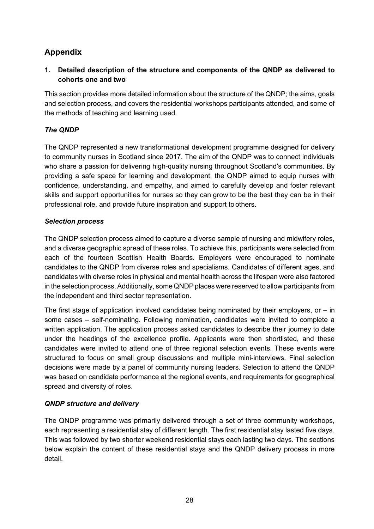# <span id="page-35-0"></span>**Appendix**

**1. Detailed description of the structure and components of the QNDP as delivered to cohorts one and two**

This section provides more detailed information about the structure of the QNDP; the aims, goals and selection process, and covers the residential workshops participants attended, and some of the methods of teaching and learning used.

## *The QNDP*

The QNDP represented a new transformational development programme designed for delivery to community nurses in Scotland since 2017. The aim of the QNDP was to connect individuals who share a passion for delivering high-quality nursing throughout Scotland's communities. By providing a safe space for learning and development, the QNDP aimed to equip nurses with confidence, understanding, and empathy, and aimed to carefully develop and foster relevant skills and support opportunities for nurses so they can grow to be the best they can be in their professional role, and provide future inspiration and support to others.

### *Selection process*

The QNDP selection process aimed to capture a diverse sample of nursing and midwifery roles, and a diverse geographic spread of these roles. To achieve this, participants were selected from each of the fourteen Scottish Health Boards. Employers were encouraged to nominate candidates to the QNDP from diverse roles and specialisms. Candidates of different ages, and candidates with diverse roles in physical and mental health across the lifespan were also factored in the selection process. Additionally, some QNDP places were reserved to allow participants from the independent and third sector representation.

The first stage of application involved candidates being nominated by their employers, or  $-$  in some cases – self-nominating. Following nomination, candidates were invited to complete a written application. The application process asked candidates to describe their journey to date under the headings of the excellence profile. Applicants were then shortlisted, and these candidates were invited to attend one of three regional selection events. These events were structured to focus on small group discussions and multiple mini-interviews. Final selection decisions were made by a panel of community nursing leaders. Selection to attend the QNDP was based on candidate performance at the regional events, and requirements for geographical spread and diversity of roles.

### *QNDP structure and delivery*

The QNDP programme was primarily delivered through a set of three community workshops, each representing a residential stay of different length. The first residential stay lasted five days. This was followed by two shorter weekend residential stays each lasting two days. The sections below explain the content of these residential stays and the QNDP delivery process in more detail.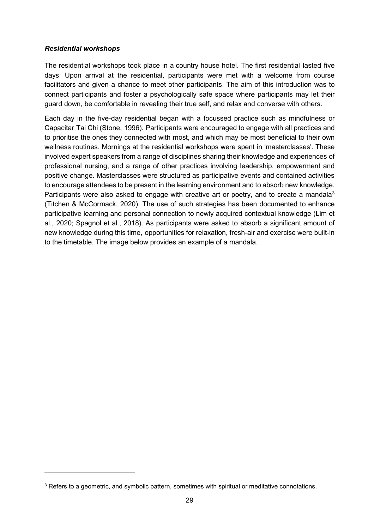#### *Residential workshops*

-

The residential workshops took place in a country house hotel. The first residential lasted five days. Upon arrival at the residential, participants were met with a welcome from course facilitators and given a chance to meet other participants. The aim of this introduction was to connect participants and foster a psychologically safe space where participants may let their guard down, be comfortable in revealing their true self, and relax and converse with others.

Each day in the five-day residential began with a focussed practice such as mindfulness or Capacitar Tai Chi (Stone, 1996). Participants were encouraged to engage with all practices and to prioritise the ones they connected with most, and which may be most beneficial to their own wellness routines. Mornings at the residential workshops were spent in 'masterclasses'. These involved expert speakers from a range of disciplines sharing their knowledge and experiences of professional nursing, and a range of other practices involving leadership, empowerment and positive change. Masterclasses were structured as participative events and contained activities to encourage attendees to be present in the learning environment and to absorb new knowledge. Participants were also asked to engage with creative art or poetry, and to create a mandala<sup>[3](#page-36-0)</sup> (Titchen & McCormack, 2020). The use of such strategies has been documented to enhance participative learning and personal connection to newly acquired contextual knowledge (Lim et al., 2020; Spagnol et al., 2018). As participants were asked to absorb a significant amount of new knowledge during this time, opportunities for relaxation, fresh-air and exercise were built-in to the timetable. The image below provides an example of a mandala.

<span id="page-36-0"></span><sup>&</sup>lt;sup>3</sup> Refers to a geometric, and symbolic pattern, sometimes with spiritual or meditative connotations.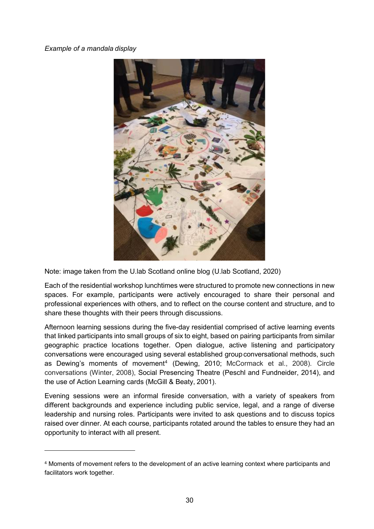#### *Example of a mandala display*

-



Note: image taken from the U.lab Scotland online blog (U.lab Scotland, 2020)

Each of the residential workshop lunchtimes were structured to promote new connections in new spaces. For example, participants were actively encouraged to share their personal and professional experiences with others, and to reflect on the course content and structure, and to share these thoughts with their peers through discussions.

Afternoon learning sessions during the five-day residential comprised of active learning events that linked participants into small groups of six to eight, based on pairing participants from similar geographic practice locations together. Open dialogue, active listening and participatory conversations were encouraged using several established groupconversational methods, such as Dewing's moments of movement<sup>[4](#page-37-0)</sup> (Dewing, 2010; McCormack et al., 2008). Circle conversations (Winter, 2008), Social Presencing Theatre (Peschl and Fundneider, 2014), and the use of Action Learning cards (McGill & Beaty, 2001).

Evening sessions were an informal fireside conversation, with a variety of speakers from different backgrounds and experience including public service, legal, and a range of diverse leadership and nursing roles. Participants were invited to ask questions and to discuss topics raised over dinner. At each course, participants rotated around the tables to ensure they had an opportunity to interact with all present.

<span id="page-37-0"></span><sup>4</sup> Moments of movement refers to the development of an active learning context where participants and facilitators work together.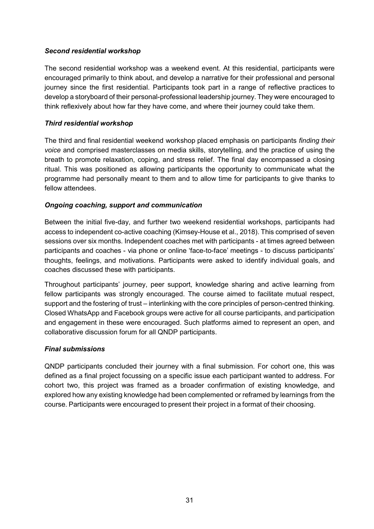#### *Second residential workshop*

The second residential workshop was a weekend event. At this residential, participants were encouraged primarily to think about, and develop a narrative for their professional and personal journey since the first residential. Participants took part in a range of reflective practices to develop a storyboard of their personal-professional leadership journey. They were encouraged to think reflexively about how far they have come, and where their journey could take them.

#### *Third residential workshop*

The third and final residential weekend workshop placed emphasis on participants *finding their voice* and comprised masterclasses on media skills, storytelling, and the practice of using the breath to promote relaxation, coping, and stress relief. The final day encompassed a closing ritual. This was positioned as allowing participants the opportunity to communicate what the programme had personally meant to them and to allow time for participants to give thanks to fellow attendees.

#### *Ongoing coaching, support and communication*

Between the initial five-day, and further two weekend residential workshops, participants had access to independent co-active coaching (Kimsey-House et al., 2018). This comprised of seven sessions over six months. Independent coaches met with participants - at times agreed between participants and coaches - via phone or online 'face-to-face' meetings - to discuss participants' thoughts, feelings, and motivations. Participants were asked to identify individual goals, and coaches discussed these with participants.

Throughout participants' journey, peer support, knowledge sharing and active learning from fellow participants was strongly encouraged. The course aimed to facilitate mutual respect, support and the fostering of trust – interlinking with the core principles of person-centred thinking. Closed WhatsApp and Facebook groups were active for all course participants, and participation and engagement in these were encouraged. Such platforms aimed to represent an open, and collaborative discussion forum for all QNDP participants.

#### *Final submissions*

QNDP participants concluded their journey with a final submission. For cohort one, this was defined as a final project focussing on a specific issue each participant wanted to address. For cohort two, this project was framed as a broader confirmation of existing knowledge, and explored how any existing knowledge had been complemented or reframed by learnings from the course. Participants were encouraged to present their project in a format of their choosing.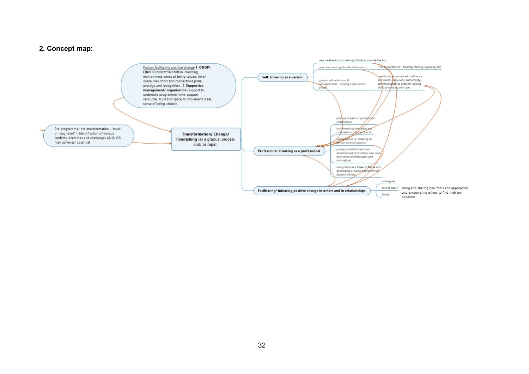#### **2. Concept map:**

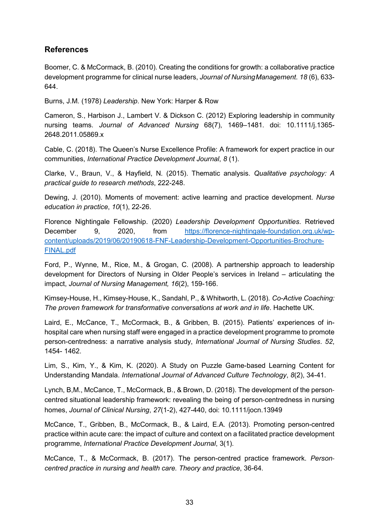# <span id="page-40-0"></span>**References**

Boomer, C. & McCormack, B. (2010). Creating the conditions for growth: a collaborative practice development programme for clinical nurse leaders, *Journal of NursingManagement*. *18* (6), 633- 644.

Burns, J.M. (1978) *Leadership*. New York: Harper & Row

Cameron, S., Harbison J., Lambert V. & Dickson C. (2012) Exploring leadership in community nursing teams. *Journal of Advanced Nursing* 68(7), 1469–1481. doi: 10.1111/j.1365- 2648.2011.05869.x

Cable, C. (2018). The Queen's Nurse Excellence Profile: A framework for expert practice in our communities, *International Practice Development Journal*, *8* (1).

Clarke, V., Braun, V., & Hayfield, N. (2015). Thematic analysis. *Qualitative psychology: A practical guide to research methods*, 222-248.

Dewing, J. (2010). Moments of movement: active learning and practice development. *Nurse education in practice*, *10*(1), 22-26.

Florence Nightingale Fellowship. (2020) *Leadership Development Opportunities*. Retrieved December 9, 2020, from [https://florence-nightingale-foundation.org.uk/wp](https://florence-nightingale-foundation.org.uk/wp-content/uploads/2019/06/20190618-FNF-Leadership-Development-Opportunities-Brochure-FINAL.pdf)[content/uploads/2019/06/20190618-FNF-Leadership-Development-Opportunities-Brochure-](https://florence-nightingale-foundation.org.uk/wp-content/uploads/2019/06/20190618-FNF-Leadership-Development-Opportunities-Brochure-FINAL.pdf)[FINAL.pdf](https://florence-nightingale-foundation.org.uk/wp-content/uploads/2019/06/20190618-FNF-Leadership-Development-Opportunities-Brochure-FINAL.pdf)

Ford, P., Wynne, M., Rice, M., & Grogan, C. (2008). A partnership approach to leadership development for Directors of Nursing in Older People's services in Ireland – articulating the impact, *Journal of Nursing Management, 16*(2), 159-166.

Kimsey-House, H., Kimsey-House, K., Sandahl, P., & Whitworth, L. (2018). *Co-Active Coaching: The proven framework for transformative conversations at work and in life*. Hachette UK.

Laird, E., McCance, T., McCormack, B., & Gribben, B. (2015). Patients' experiences of inhospital care when nursing staff were engaged in a practice development programme to promote person-centredness: a narrative analysis study, *International Journal of Nursing Studies*. *52*, 1454- 1462.

Lim, S., Kim, Y., & Kim, K. (2020). A Study on Puzzle Game-based Learning Content for Understanding Mandala. *International Journal of Advanced Culture Technology*, *8*(2), 34-41.

Lynch, B,M., McCance, T., McCormack, B., & Brown, D. (2018). The development of the person‐ centred situational leadership framework: revealing the being of person‐centredness in nursing homes, *Journal of Clinical Nursing*, *27*(1-2), 427-440, doi: 10.1111/jocn.13949

McCance, T., Gribben, B., McCormack, B., & Laird, E.A. (2013). Promoting person-centred practice within acute care: the impact of culture and context on a facilitated practice development programme, *International Practice Development Journal*, 3(1).

McCance, T., & McCormack, B. (2017). The person-centred practice framework. *Person‐ centred practice in nursing and health care. Theory and practice*, 36-64.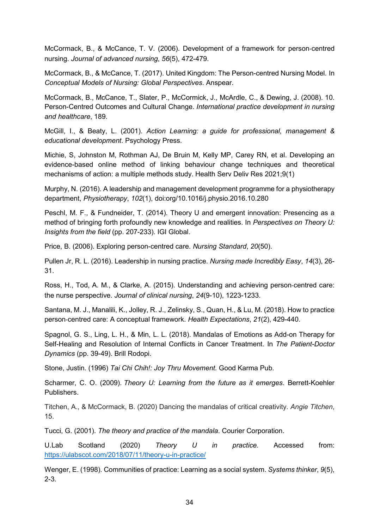McCormack, B., & McCance, T. V. (2006). Development of a framework for person‐centred nursing. *Journal of advanced nursing*, *56*(5), 472-479.

McCormack, B., & McCance, T. (2017). United Kingdom: The Person-centred Nursing Model. In *Conceptual Models of Nursing: Global Perspectives*. Anspear.

McCormack, B., McCance, T., Slater, P., McCormick, J., McArdle, C., & Dewing, J. (2008). 10. Person-Centred Outcomes and Cultural Change. *International practice development in nursing and healthcare*, 189.

McGill, I., & Beaty, L. (2001). *Action Learning: a guide for professional, management & educational development*. Psychology Press.

Michie, S, Johnston M, Rothman AJ, De Bruin M, Kelly MP, Carey RN, et al. Developing an evidence-based online method of linking behaviour change techniques and theoretical mechanisms of action: a multiple methods study. Health Serv Deliv Res 2021;9(1)

Murphy, N. (2016). A leadership and management development programme for a physiotherapy department, *Physiotherapy*, *102*(1), doi:org/10.1016/j.physio.2016.10.280

Peschl, M. F., & Fundneider, T. (2014). Theory U and emergent innovation: Presencing as a method of bringing forth profoundly new knowledge and realities. In *Perspectives on Theory U: Insights from the field* (pp. 207-233). IGI Global.

Price, B. (2006). Exploring person-centred care. *Nursing Standard*, *20*(50).

Pullen Jr, R. L. (2016). Leadership in nursing practice. *Nursing made Incredibly Easy*, *14*(3), 26- 31.

Ross, H., Tod, A. M., & Clarke, A. (2015). Understanding and achieving person‐centred care: the nurse perspective. *Journal of clinical nursing*, *24*(9-10), 1223-1233.

Santana, M. J., Manalili, K., Jolley, R. J., Zelinsky, S., Quan, H., & Lu, M. (2018). How to practice person‐centred care: A conceptual framework. *Health Expectations*, *21*(2), 429-440.

Spagnol, G. S., Ling, L. H., & Min, L. L. (2018). Mandalas of Emotions as Add-on Therapy for Self-Healing and Resolution of Internal Conflicts in Cancer Treatment. In *The Patient-Doctor Dynamics* (pp. 39-49). Brill Rodopi.

Stone, Justin. (1996) *Tai Chi Chih!: Joy Thru Movement.* Good Karma Pub.

Scharmer, C. O. (2009). *Theory U: Learning from the future as it emerges*. Berrett-Koehler Publishers.

Titchen, A., & McCormack, B. (2020) Dancing the mandalas of critical creativity. *Angie Titchen*, 15.

Tucci, G. (2001). *The theory and practice of the mandala*. Courier Corporation.

U.Lab Scotland (2020) *Theory U in practice.* Accessed from: <https://ulabscot.com/2018/07/11/theory-u-in-practice/>

Wenger, E. (1998). Communities of practice: Learning as a social system. *Systems thinker*, *9*(5), 2-3.